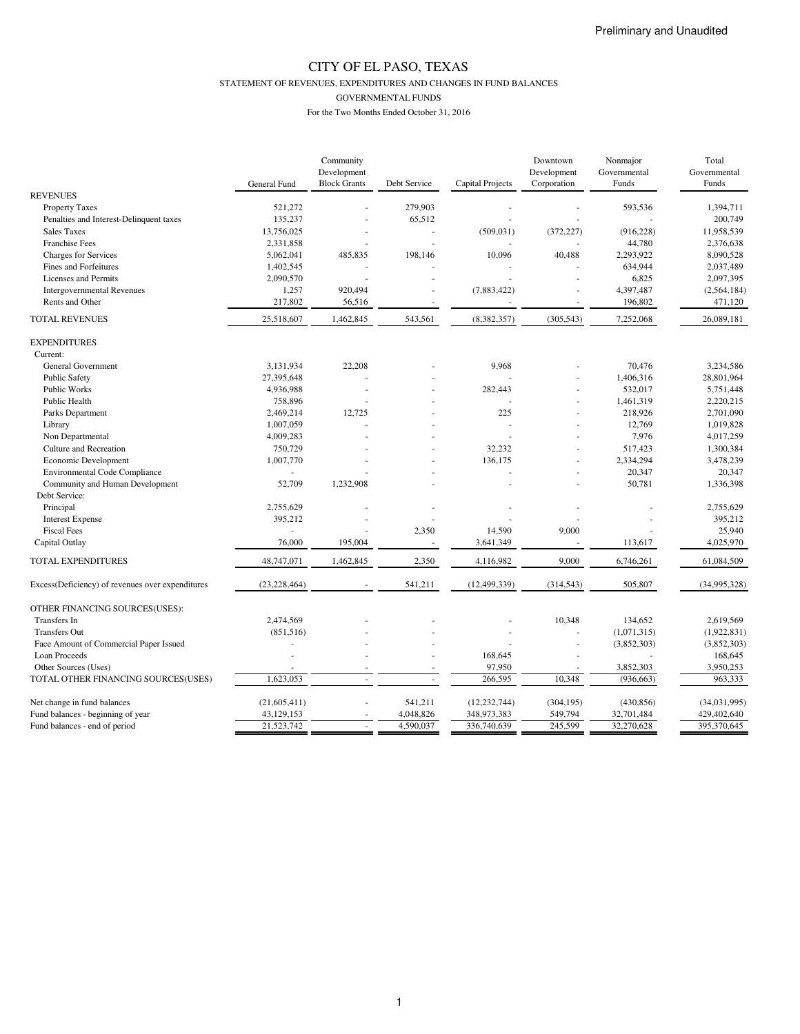STATEMENT OF REVENUES, EXPENDITURES AND CHANGES IN FUND BALANCES

GOVERNMENTAL FUNDS

|                                                  |                | Community           |                |                  | Downtown    | Nonmajor     | Total        |
|--------------------------------------------------|----------------|---------------------|----------------|------------------|-------------|--------------|--------------|
|                                                  |                | Development         |                |                  | Development | Governmental | Governmental |
|                                                  | General Fund   | <b>Block Grants</b> | Debt Service   | Capital Projects | Corporation | Funds        | Funds        |
| <b>REVENUES</b>                                  |                |                     |                |                  |             |              |              |
| <b>Property Taxes</b>                            | 521,272        |                     | 279,903        |                  |             | 593,536      | 1,394,711    |
| Penalties and Interest-Delinquent taxes          | 135,237        |                     | 65,512         |                  |             |              | 200,749      |
| <b>Sales Taxes</b>                               | 13,756,025     |                     | ÷,             | (509, 031)       | (372, 227)  | (916, 228)   | 11,958,539   |
| <b>Franchise Fees</b>                            | 2,331,858      |                     | ÷.             |                  |             | 44,780       | 2,376,638    |
| <b>Charges for Services</b>                      | 5,062,041      | 485,835             | 198,146        | 10,096           | 40,488      | 2,293,922    | 8,090,528    |
| Fines and Forfeitures                            | 1,402,545      |                     |                |                  |             | 634,944      | 2,037,489    |
| Licenses and Permits                             | 2,090,570      |                     |                |                  |             | 6,825        | 2,097,395    |
| <b>Intergovernmental Revenues</b>                | 1,257          | 920,494             |                | (7,883,422)      | ÷,          | 4,397,487    | (2,564,184)  |
| Rents and Other                                  | 217,802        | 56,516              | ÷.             |                  |             | 196,802      | 471,120      |
| <b>TOTAL REVENUES</b>                            | 25,518,607     | 1,462,845           | 543,561        | (8,382,357)      | (305, 543)  | 7,252,068    | 26,089,181   |
| <b>EXPENDITURES</b>                              |                |                     |                |                  |             |              |              |
| Current:                                         |                |                     |                |                  |             |              |              |
| General Government                               | 3,131,934      | 22,208              |                | 9,968            |             | 70,476       | 3,234,586    |
| <b>Public Safety</b>                             | 27,395,648     |                     |                |                  |             | 1,406,316    | 28,801,964   |
| Public Works                                     | 4,936,988      |                     |                | 282,443          | ä,          | 532,017      | 5,751,448    |
| <b>Public Health</b>                             | 758,896        |                     |                |                  |             | 1,461,319    | 2,220,215    |
| Parks Department                                 | 2,469,214      | 12,725              |                | 225              | ä,          | 218,926      | 2,701,090    |
| Library                                          | 1,007,059      |                     |                |                  |             | 12,769       | 1,019,828    |
| Non Departmental                                 | 4,009,283      |                     |                |                  |             | 7,976        | 4,017,259    |
|                                                  |                |                     |                |                  |             |              |              |
| Culture and Recreation                           | 750,729        |                     |                | 32,232           |             | 517,423      | 1,300,384    |
| Economic Development                             | 1,007,770      |                     |                | 136,175          |             | 2,334,294    | 3,478,239    |
| <b>Environmental Code Compliance</b>             |                |                     |                |                  |             | 20,347       | 20,347       |
| Community and Human Development                  | 52,709         | 1,232,908           |                |                  |             | 50,781       | 1,336,398    |
| Debt Service:                                    |                |                     |                |                  |             |              |              |
| Principal                                        | 2,755,629      |                     |                |                  |             |              | 2,755,629    |
| <b>Interest Expense</b>                          | 395,212        |                     |                |                  |             |              | 395,212      |
| <b>Fiscal Fees</b>                               |                |                     | 2,350          | 14,590           | 9,000       |              | 25,940       |
| Capital Outlay                                   | 76,000         | 195,004             |                | 3,641,349        |             | 113,617      | 4,025,970    |
| TOTAL EXPENDITURES                               | 48,747,071     | 1,462,845           | 2,350          | 4,116,982        | 9,000       | 6,746,261    | 61,084,509   |
| Excess(Deficiency) of revenues over expenditures | (23, 228, 464) |                     | 541,211        | (12, 499, 339)   | (314, 543)  | 505,807      | (34,995,328) |
| OTHER FINANCING SOURCES(USES):                   |                |                     |                |                  |             |              |              |
| Transfers In                                     | 2,474,569      |                     |                |                  | 10,348      | 134,652      | 2,619,569    |
| <b>Transfers Out</b>                             | (851, 516)     |                     |                |                  |             | (1,071,315)  | (1,922,831)  |
| Face Amount of Commercial Paper Issued           |                |                     |                |                  | ÷,          | (3,852,303)  | (3,852,303)  |
| Loan Proceeds                                    |                |                     |                | 168,645          |             |              | 168,645      |
| Other Sources (Uses)                             |                |                     | $\overline{a}$ | 97,950           | ÷           | 3,852,303    | 3,950,253    |
| TOTAL OTHER FINANCING SOURCES(USES)              | 1,623,053      |                     |                | 266,595          | 10,348      |              | 963,333      |
|                                                  |                |                     |                |                  |             | (936, 663)   |              |
| Net change in fund balances                      | (21, 605, 411) |                     | 541,211        | (12, 232, 744)   | (304, 195)  | (430, 856)   | (34,031,995) |
| Fund balances - beginning of year                | 43,129,153     |                     | 4,048,826      | 348,973,383      | 549,794     | 32,701,484   | 429,402,640  |
| Fund balances - end of period                    | 21,523,742     |                     | 4,590,037      | 336,740,639      | 245,599     | 32,270,628   | 395,370,645  |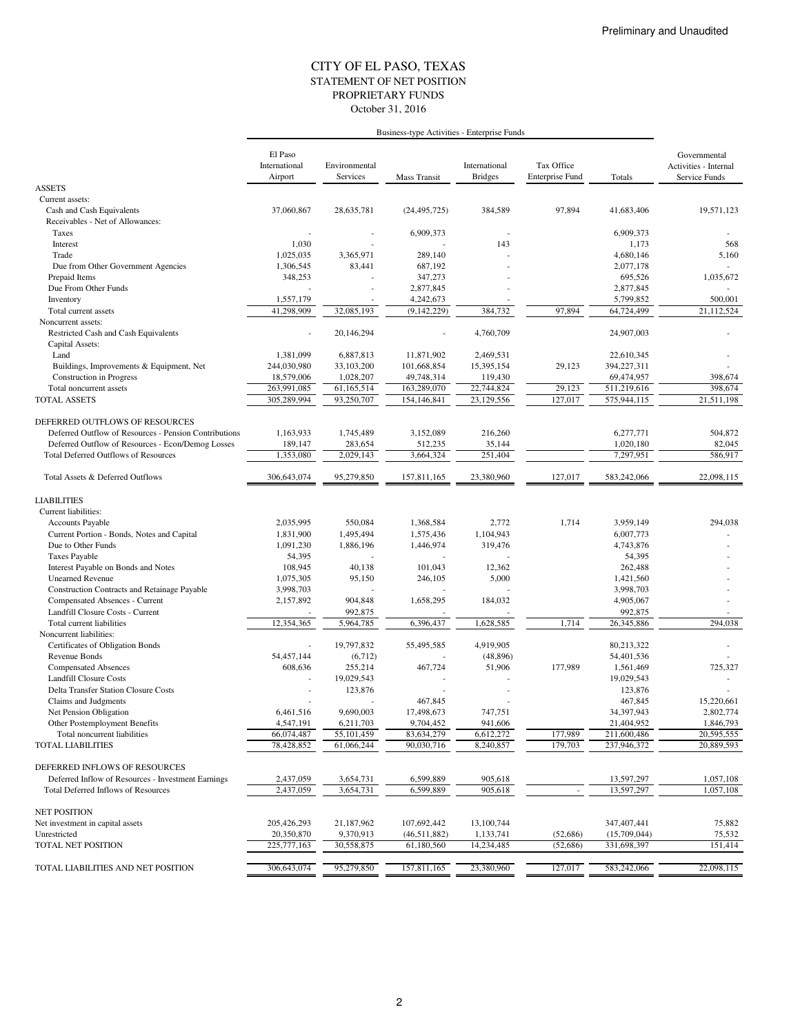#### STATEMENT OF NET POSITION CITY OF EL PASO, TEXAS October 31, 2016 PROPRIETARY FUNDS

|                                                              | Business-type Activities - Enterprise Funds |                           |                      |                                 |                                      |                         |                                                        |
|--------------------------------------------------------------|---------------------------------------------|---------------------------|----------------------|---------------------------------|--------------------------------------|-------------------------|--------------------------------------------------------|
|                                                              | El Paso<br>International<br>Airport         | Environmental<br>Services | <b>Mass Transit</b>  | International<br><b>Bridges</b> | Tax Office<br><b>Enterprise Fund</b> | Totals                  | Governmental<br>Activities - Internal<br>Service Funds |
| <b>ASSETS</b>                                                |                                             |                           |                      |                                 |                                      |                         |                                                        |
| Current assets:                                              |                                             |                           |                      |                                 |                                      |                         |                                                        |
| Cash and Cash Equivalents                                    | 37,060,867                                  | 28,635,781                | (24, 495, 725)       | 384,589                         | 97,894                               | 41,683,406              | 19,571,123                                             |
| Receivables - Net of Allowances:                             |                                             |                           |                      |                                 |                                      |                         |                                                        |
| Taxes                                                        |                                             |                           | 6,909,373            |                                 |                                      | 6,909,373               |                                                        |
| Interest                                                     | 1,030                                       |                           |                      | 143                             |                                      | 1,173                   | 568                                                    |
| Trade                                                        | 1,025,035                                   | 3,365,971                 | 289,140              |                                 |                                      | 4,680,146               | 5,160                                                  |
| Due from Other Government Agencies                           | 1,306,545                                   | 83,441                    | 687,192              |                                 |                                      | 2,077,178<br>695,526    |                                                        |
| Prepaid Items<br>Due From Other Funds                        | 348,253                                     |                           | 347,273<br>2,877,845 |                                 |                                      | 2,877,845               | 1,035,672                                              |
| Inventory                                                    | 1,557,179                                   |                           | 4,242,673            |                                 |                                      | 5,799,852               | 500,001                                                |
| Total current assets                                         | 41.298.909                                  | 32,085,193                | (9,142,229)          | 384,732                         | 97,894                               | 64,724,499              | 21,112,524                                             |
| Noncurrent assets:                                           |                                             |                           |                      |                                 |                                      |                         |                                                        |
| Restricted Cash and Cash Equivalents                         |                                             | 20,146,294                |                      | 4,760,709                       |                                      | 24,907,003              |                                                        |
| Capital Assets:                                              |                                             |                           |                      |                                 |                                      |                         |                                                        |
| Land                                                         | 1,381,099                                   | 6,887,813                 | 11,871,902           | 2,469,531                       |                                      | 22,610,345              |                                                        |
| Buildings, Improvements & Equipment, Net                     | 244,030,980                                 | 33,103,200                | 101,668,854          | 15,395,154                      | 29,123                               | 394,227,311             |                                                        |
| <b>Construction</b> in Progress                              | 18,579,006                                  | 1,028,207                 | 49,748,314           | 119,430                         |                                      | 69,474,957              | 398,674                                                |
| Total noncurrent assets                                      | 263,991,085                                 | 61,165,514                | 163,289,070          | 22,744,824                      | 29,123                               | 511,219,616             | 398,674                                                |
| <b>TOTAL ASSETS</b>                                          | 305,289,994                                 | 93,250,707                | 154,146,841          | 23,129,556                      | 127,017                              | 575,944,115             | 21,511,198                                             |
|                                                              |                                             |                           |                      |                                 |                                      |                         |                                                        |
| DEFERRED OUTFLOWS OF RESOURCES                               |                                             |                           |                      |                                 |                                      |                         |                                                        |
| Deferred Outflow of Resources - Pension Contributions        | 1.163.933                                   | 1,745,489                 | 3,152,089            | 216,260                         |                                      | 6,277,771               | 504,872                                                |
| Deferred Outflow of Resources - Econ/Demog Losses            | 189,147                                     | 283,654                   | 512,235              | 35,144                          |                                      | 1,020,180               | 82,045                                                 |
| <b>Total Deferred Outflows of Resources</b>                  | 1,353,080                                   | 2,029,143                 | 3,664,324            | 251,404                         |                                      | 7,297,951               | 586,917                                                |
| Total Assets & Deferred Outflows                             | 306, 643, 074                               | 95,279,850                | 157,811,165          | 23,380,960                      | 127,017                              | 583,242,066             | 22,098,115                                             |
|                                                              |                                             |                           |                      |                                 |                                      |                         |                                                        |
| <b>LIABILITIES</b>                                           |                                             |                           |                      |                                 |                                      |                         |                                                        |
| Current liabilities:                                         |                                             |                           |                      |                                 |                                      |                         |                                                        |
| Accounts Payable                                             | 2,035,995                                   | 550,084                   | 1,368,584            | 2,772                           | 1,714                                | 3,959,149               | 294,038                                                |
| Current Portion - Bonds, Notes and Capital                   | 1,831,900                                   | 1,495,494                 | 1,575,436            | 1,104,943                       |                                      | 6,007,773               |                                                        |
| Due to Other Funds                                           | 1,091,230                                   | 1,886,196                 | 1,446,974            | 319,476                         |                                      | 4,743,876               |                                                        |
| <b>Taxes Payable</b>                                         | 54,395                                      |                           |                      |                                 |                                      | 54,395                  |                                                        |
| Interest Payable on Bonds and Notes                          | 108,945                                     | 40,138                    | 101,043              | 12,362                          |                                      | 262,488                 |                                                        |
| <b>Unearned Revenue</b>                                      | 1,075,305                                   | 95,150                    | 246,105              | 5,000                           |                                      | 1,421,560               |                                                        |
| Construction Contracts and Retainage Payable                 | 3,998,703                                   |                           |                      |                                 |                                      | 3,998,703               |                                                        |
| Compensated Absences - Current                               | 2,157,892                                   | 904,848                   | 1,658,295            | 184,032                         |                                      | 4,905,067               |                                                        |
| Landfill Closure Costs - Current                             |                                             | 992,875                   |                      |                                 |                                      | 992,875                 |                                                        |
| Total current liabilities                                    | 12,354,365                                  | 5,964,785                 | 6,396,437            | 1,628,585                       | 1,714                                | 26,345,886              | 294,038                                                |
| Noncurrent liabilities:                                      |                                             |                           |                      |                                 |                                      |                         |                                                        |
| Certificates of Obligation Bonds                             |                                             | 19,797,832                | 55,495,585           | 4,919,905                       |                                      | 80,213,322              |                                                        |
| <b>Revenue Bonds</b>                                         | 54,457,144                                  | (6,712)                   |                      | (48, 896)                       |                                      | 54,401,536              |                                                        |
| <b>Compensated Absences</b><br><b>Landfill Closure Costs</b> | 608,636                                     | 255,214<br>19,029,543     | 467,724              | 51,906                          | 177,989                              | 1,561,469<br>19,029,543 | 725,327                                                |
| Delta Transfer Station Closure Costs                         |                                             | 123,876                   |                      |                                 |                                      | 123,876                 |                                                        |
| Claims and Judgments                                         |                                             |                           | 467,845              |                                 |                                      | 467,845                 | 15,220,661                                             |
| Net Pension Obligation                                       | 6,461,516                                   | 9,690,003                 | 17,498,673           | 747,751                         |                                      | 34,397,943              | 2,802,774                                              |
| Other Postemployment Benefits                                | 4,547,191                                   | 6,211,703                 | 9,704,452            | 941,606                         |                                      | 21,404,952              | 1,846,793                                              |
| Total noncurrent liabilities                                 | 66,074,487                                  | 55,101,459                | 83,634,279           | 6,612,272                       | 177,989                              | 211,600,486             | 20,595,555                                             |
| <b>TOTAL LIABILITIES</b>                                     | 78,428,852                                  | 61,066,244                | 90,030,716           | 8,240,857                       | 179,703                              | 237,946,372             | 20,889,593                                             |
|                                                              |                                             |                           |                      |                                 |                                      |                         |                                                        |
| DEFERRED INFLOWS OF RESOURCES                                |                                             |                           |                      |                                 |                                      |                         |                                                        |
| Deferred Inflow of Resources - Investment Earnings           | 2,437,059                                   | 3,654,731                 | 6,599,889            | 905,618                         |                                      | 13,597,297              | 1,057,108                                              |
| Total Deferred Inflows of Resources                          | 2,437,059                                   | 3,654,731                 | 6,599,889            | 905,618                         |                                      | 13,597,297              | 1,057,108                                              |
| <b>NET POSITION</b>                                          |                                             |                           |                      |                                 |                                      |                         |                                                        |
| Net investment in capital assets                             | 205,426,293                                 | 21,187,962                | 107,692,442          | 13,100,744                      |                                      | 347,407,441             | 75,882                                                 |
| Unrestricted                                                 | 20,350,870                                  | 9,370,913                 | (46,511,882)         | 1,133,741                       | (52, 686)                            | (15,709,044)            | 75,532                                                 |
| TOTAL NET POSITION                                           | 225,777,163                                 | 30,558,875                | 61,180,560           | 14,234,485                      | (52, 686)                            | 331,698,397             | 151,414                                                |
|                                                              |                                             |                           |                      |                                 |                                      |                         |                                                        |
| TOTAL LIABILITIES AND NET POSITION                           | 306,643,074                                 | 95,279,850                | 157,811,165          | 23,380,960                      | 127,017                              | 583,242,066             | 22,098,115                                             |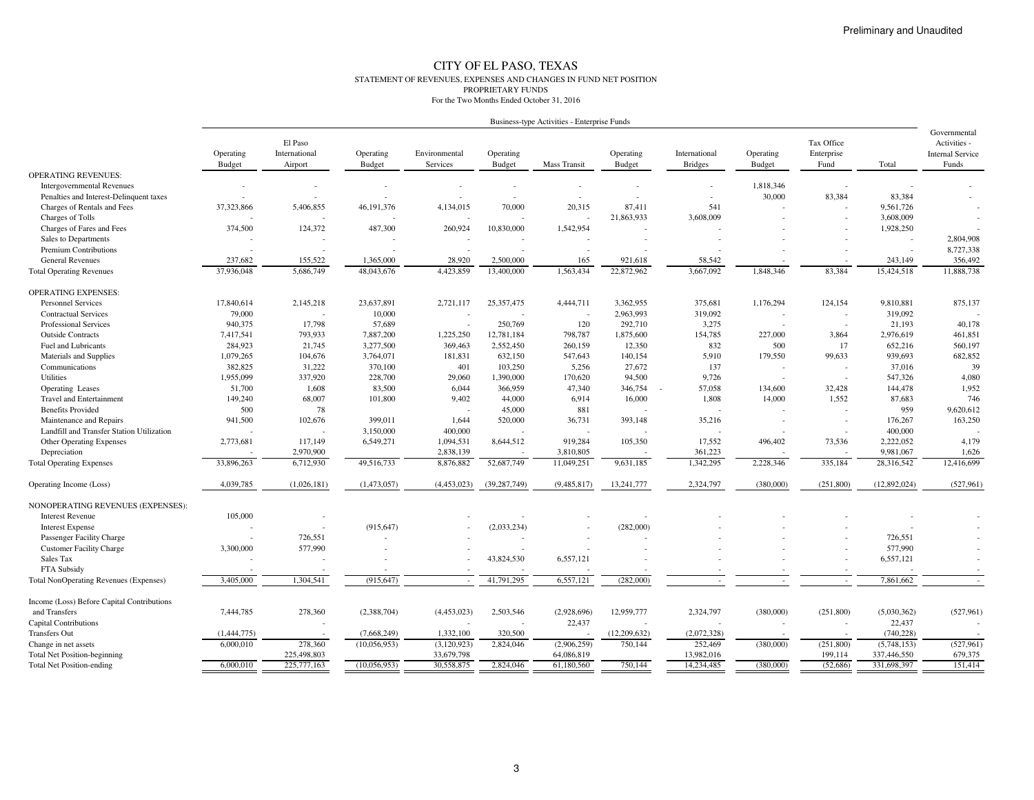#### CITY OF EL PASO, TEXAS STATEMENT OF REVENUES, EXPENSES AND CHANGES IN FUND NET POSITIONPROPRIETARY FUNDSFor the Two Months Ended October 31, 2016

|                                               |                            |                                     |                            |                           |                     | Business-type Activities - Enterprise Funds |                            |                                 |                            |                                  |              |                                                                  |
|-----------------------------------------------|----------------------------|-------------------------------------|----------------------------|---------------------------|---------------------|---------------------------------------------|----------------------------|---------------------------------|----------------------------|----------------------------------|--------------|------------------------------------------------------------------|
|                                               | Operating<br><b>Budget</b> | El Paso<br>International<br>Airport | Operating<br><b>Budget</b> | Environmental<br>Services | Operating<br>Budget | Mass Transit                                | Operating<br><b>Budget</b> | International<br><b>Bridges</b> | Operating<br><b>Budget</b> | Tax Office<br>Enterprise<br>Fund | Total        | Governmental<br>Activities -<br><b>Internal Service</b><br>Funds |
| <b>OPERATING REVENUES:</b>                    |                            |                                     |                            |                           |                     |                                             |                            |                                 |                            |                                  |              |                                                                  |
| <b>Intergovernmental Revenues</b>             |                            |                                     |                            | ٠                         |                     |                                             |                            |                                 | 1,818,346                  |                                  |              |                                                                  |
| Penalties and Interest-Delinquent taxes       |                            |                                     |                            |                           |                     |                                             |                            |                                 | 30,000                     | 83,384                           | 83.384       |                                                                  |
| Charges of Rentals and Fees                   | 37,323,866                 | 5,406,855                           | 46,191,376                 | 4,134,015                 | 70,000              | 20.315                                      | 87.411                     | 541                             |                            |                                  | 9,561,726    |                                                                  |
| Charges of Tolls                              |                            |                                     |                            |                           |                     |                                             | 21,863,933                 | 3,608,009                       |                            |                                  | 3,608,009    |                                                                  |
| Charges of Fares and Fees                     | 374,500                    | 124,372                             | 487,300                    | 260,924                   | 10,830,000          | 1,542,954                                   | $\overline{a}$             |                                 |                            |                                  | 1,928,250    |                                                                  |
| Sales to Departments                          |                            |                                     |                            |                           |                     |                                             |                            |                                 |                            |                                  |              | 2,804,908                                                        |
| <b>Premium Contributions</b>                  |                            |                                     |                            |                           |                     |                                             |                            |                                 |                            |                                  |              | 8,727,338                                                        |
| <b>General Revenues</b>                       | 237,682                    | 155,522                             | 1,365,000                  | 28,920                    | 2,500,000           | 165                                         | 921,618                    | 58,542                          |                            |                                  | 243,149      | 356,492                                                          |
| <b>Total Operating Revenues</b>               | 37,936,048                 | 5,686,749                           | 48,043,676                 | 4,423,859                 | 13,400,000          | 1,563,434                                   | 22,872,962                 | 3,667,092                       | 1,848,346                  | 83,384                           | 15,424,518   | 11,888,738                                                       |
| <b>OPERATING EXPENSES:</b>                    |                            |                                     |                            |                           |                     |                                             |                            |                                 |                            |                                  |              |                                                                  |
| <b>Personnel Services</b>                     | 17,840,614                 | 2,145,218                           | 23,637,891                 | 2,721,117                 | 25,357,475          | 4,444,711                                   | 3,362,955                  | 375,681                         | 1,176,294                  | 124,154                          | 9,810,881    | 875,137                                                          |
| <b>Contractual Services</b>                   | 79,000                     |                                     | 10,000                     |                           |                     |                                             | 2,963,993                  | 319,092                         |                            | $\overline{\phantom{a}}$         | 319,092      |                                                                  |
| Professional Services                         | 940,375                    | 17,798                              | 57,689                     |                           | 250,769             | 120                                         | 292,710                    | 3,275                           |                            | ÷,                               | 21,193       | 40,178                                                           |
| <b>Outside Contracts</b>                      | 7,417,541                  | 793,933                             | 7,887,200                  | 1,225,250                 | 12,781,184          | 798,787                                     | 1,875,600                  | 154,785                         | 227,000                    | 3,864                            | 2,976,619    | 461,851                                                          |
| Fuel and Lubricants                           | 284,923                    | 21,745                              | 3,277,500                  | 369,463                   | 2,552,450           | 260,159                                     | 12,350                     | 832                             | 500                        | 17                               | 652,216      | 560,197                                                          |
| Materials and Supplies                        | 1,079,265                  | 104,676                             | 3,764,071                  | 181,831                   | 632,150             | 547,643                                     | 140,154                    | 5,910                           | 179,550                    | 99,633                           | 939,693      | 682,852                                                          |
| Communications                                | 382,825                    | 31,222                              | 370,100                    | 401                       | 103,250             | 5,256                                       | 27,672                     | 137                             |                            | ÷,                               | 37,016       | 39                                                               |
| Utilities                                     | 1,955,099                  | 337,920                             | 228,700                    | 29,060                    | 1,390,000           | 170,620                                     | 94,500                     | 9,726                           | $\overline{\phantom{a}}$   | $\overline{\phantom{a}}$         | 547,326      | 4,080                                                            |
| Operating Leases                              | 51,700                     | 1,608                               | 83,500                     | 6,044                     | 366,959             | 47,340                                      | 346,754                    | 57,058                          | 134,600                    | 32,428                           | 144,478      | 1,952                                                            |
| <b>Travel and Entertainment</b>               | 149,240                    | 68,007                              | 101,800                    | 9,402                     | 44,000              | 6,914                                       | 16,000                     | 1,808                           | 14,000                     | 1,552                            | 87,683       | 746                                                              |
| <b>Benefits Provided</b>                      | 500                        | 78                                  |                            |                           | 45,000              | 881                                         |                            |                                 |                            |                                  | 959          | 9,620,612                                                        |
| Maintenance and Repairs                       | 941,500                    | 102,676                             | 399,011                    | 1,644                     | 520,000             | 36,731                                      | 393,148                    | 35,216                          |                            |                                  | 176,267      | 163,250                                                          |
| Landfill and Transfer Station Utilization     |                            |                                     | 3,150,000                  | 400,000                   |                     |                                             |                            |                                 |                            |                                  | 400,000      |                                                                  |
| Other Operating Expenses                      | 2,773,681                  | 117,149                             | 6,549,271                  | 1,094,531                 | 8,644,512           | 919,284                                     | 105,350                    | 17,552                          | 496,402                    | 73,536                           | 2,222,052    | 4,179                                                            |
| Depreciation                                  |                            | 2,970,900                           |                            | 2,838,139                 |                     | 3,810,805                                   |                            | 361,223                         |                            |                                  | 9,981,067    | 1,626                                                            |
| <b>Total Operating Expenses</b>               | 33,896,263                 | 6,712,930                           | 49,516,733                 | 8,876,882                 | 52,687,749          | 11,049,251                                  | 9,631,185                  | 1,342,295                       | 2,228,346                  | 335,184                          | 28,316,542   | 12,416,699                                                       |
| Operating Income (Loss)                       | 4,039,785                  | (1,026,181)                         | (1,473,057)                | (4,453,023)               | (39, 287, 749)      | (9,485,817)                                 | 13,241,777                 | 2,324,797                       | (380,000)                  | (251, 800)                       | (12,892,024) | (527,961)                                                        |
|                                               |                            |                                     |                            |                           |                     |                                             |                            |                                 |                            |                                  |              |                                                                  |
| NONOPERATING REVENUES (EXPENSES):             |                            |                                     |                            |                           |                     |                                             |                            |                                 |                            |                                  |              |                                                                  |
| <b>Interest Revenue</b>                       | 105,000                    |                                     |                            |                           |                     |                                             |                            |                                 |                            |                                  |              |                                                                  |
| <b>Interest Expense</b>                       |                            |                                     | (915, 647)                 |                           | (2,033,234)         |                                             | (282,000)                  |                                 |                            |                                  |              |                                                                  |
| Passenger Facility Charge                     |                            | 726,551                             |                            |                           |                     |                                             |                            |                                 |                            |                                  | 726,551      |                                                                  |
| <b>Customer Facility Charge</b>               | 3,300,000                  | 577,990                             |                            |                           |                     |                                             |                            |                                 |                            |                                  | 577,990      |                                                                  |
| Sales Tax                                     |                            |                                     |                            |                           | 43,824,530          | 6,557,121                                   |                            |                                 |                            |                                  | 6,557,121    |                                                                  |
| FTA Subsidy                                   |                            |                                     |                            |                           |                     |                                             |                            |                                 |                            |                                  |              |                                                                  |
| <b>Total NonOperating Revenues (Expenses)</b> | 3,405,000                  | 1,304,541                           | (915, 647)                 |                           | 41,791,295          | 6,557,121                                   | (282,000)                  |                                 |                            |                                  | 7,861,662    |                                                                  |
| Income (Loss) Before Capital Contributions    |                            |                                     |                            |                           |                     |                                             |                            |                                 |                            |                                  |              |                                                                  |
| and Transfers                                 | 7,444,785                  | 278,360                             | (2,388,704)                | (4,453,023)               | 2,503,546           | (2,928,696)                                 | 12,959,777                 | 2,324,797                       | (380,000)                  | (251,800)                        | (5,030,362)  | (527, 961)                                                       |
| Capital Contributions                         |                            |                                     |                            |                           |                     | 22,437                                      |                            |                                 |                            |                                  | 22,437       |                                                                  |
| <b>Transfers Out</b>                          | (1,444,775)                |                                     | (7,668,249)                | 1,332,100                 | 320,500             |                                             | (12,209,632)               | (2,072,328)                     |                            |                                  | (740, 228)   |                                                                  |
| Change in net assets                          | 6,000,010                  | 278,360                             | (10,056,953)               | (3,120,923)               | 2,824,046           | (2,906,259)                                 | 750,144                    | 252,469                         | (380,000)                  | (251, 800)                       | (5,748,153)  | (527, 961)                                                       |
| <b>Total Net Position-beginning</b>           |                            | 225,498,803                         |                            | 33,679,798                |                     | 64,086,819                                  |                            | 13,982,016                      |                            | 199,114                          | 337,446,550  | 679,375                                                          |
| <b>Total Net Position-ending</b>              | 6,000,010                  | 225,777,163                         | (10,056,953)               | 30,558,875                | 2,824,046           | 61,180,560                                  | 750,144                    | 14,234,485                      | (380,000)                  | (52,686)                         | 331,698,397  | 151,414                                                          |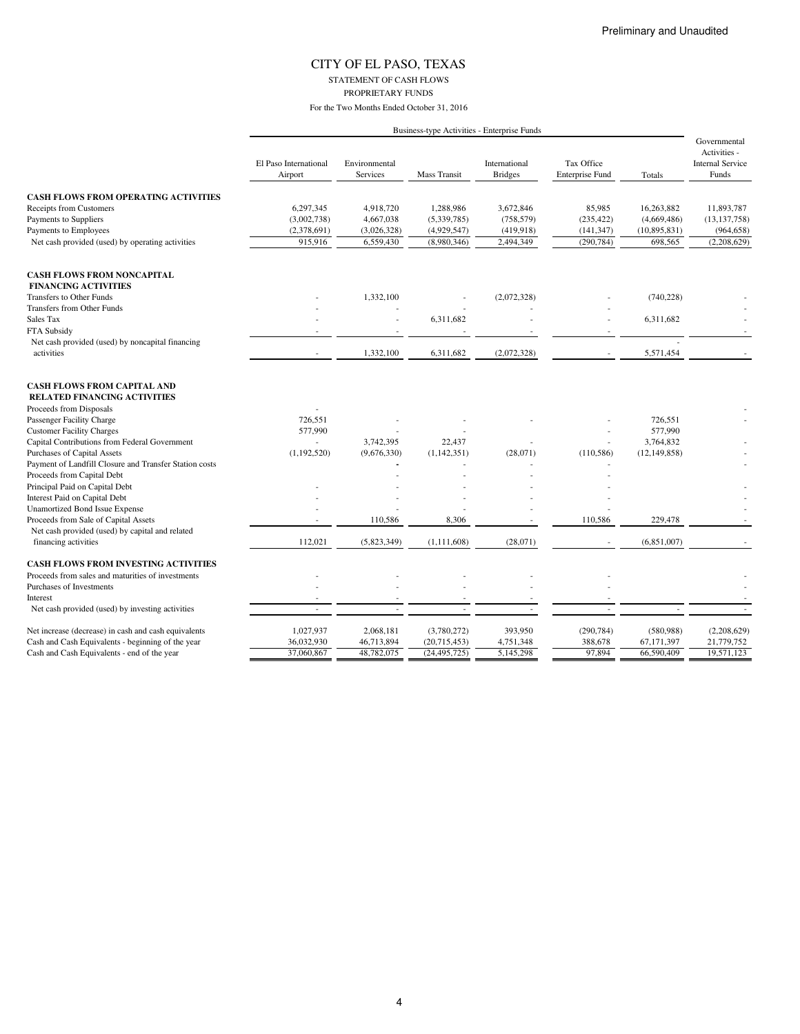STATEMENT OF CASH FLOWS PROPRIETARY FUNDS

|                                                                           |                                  |                                  |                     | Business-type Activities - Enterprise Funds |                                      |                |                                                                  |
|---------------------------------------------------------------------------|----------------------------------|----------------------------------|---------------------|---------------------------------------------|--------------------------------------|----------------|------------------------------------------------------------------|
|                                                                           | El Paso International<br>Airport | Environmental<br><b>Services</b> | <b>Mass Transit</b> | International<br><b>Bridges</b>             | Tax Office<br><b>Enterprise Fund</b> | Totals         | Governmental<br>Activities -<br><b>Internal Service</b><br>Funds |
| <b>CASH FLOWS FROM OPERATING ACTIVITIES</b>                               |                                  |                                  |                     |                                             |                                      |                |                                                                  |
| Receipts from Customers                                                   | 6,297,345                        | 4,918,720                        | 1,288,986           | 3,672,846                                   | 85,985                               | 16,263,882     | 11,893,787                                                       |
| Payments to Suppliers                                                     | (3,002,738)                      | 4,667,038                        | (5,339,785)         | (758, 579)                                  | (235, 422)                           | (4,669,486)    | (13, 137, 758)                                                   |
| Payments to Employees                                                     | (2,378,691)                      | (3,026,328)                      | (4,929,547)         | (419,918)                                   | (141, 347)                           | (10,895,831)   | (964, 658)                                                       |
| Net cash provided (used) by operating activities                          | 915,916                          | 6,559,430                        | (8,980,346)         | 2,494,349                                   | (290, 784)                           | 698,565        | (2,208,629)                                                      |
| <b>CASH FLOWS FROM NONCAPITAL</b>                                         |                                  |                                  |                     |                                             |                                      |                |                                                                  |
| <b>FINANCING ACTIVITIES</b>                                               |                                  |                                  |                     |                                             |                                      |                |                                                                  |
| Transfers to Other Funds                                                  |                                  | 1,332,100                        |                     | (2,072,328)                                 |                                      | (740, 228)     |                                                                  |
| Transfers from Other Funds                                                |                                  |                                  |                     |                                             |                                      |                |                                                                  |
| Sales Tax                                                                 |                                  |                                  | 6,311,682           |                                             |                                      | 6,311,682      |                                                                  |
| FTA Subsidy                                                               |                                  |                                  |                     |                                             |                                      |                |                                                                  |
| Net cash provided (used) by noncapital financing                          |                                  |                                  |                     |                                             |                                      |                |                                                                  |
| activities                                                                |                                  | 1,332,100                        | 6,311,682           | (2,072,328)                                 |                                      | 5,571,454      |                                                                  |
| <b>CASH FLOWS FROM CAPITAL AND</b><br><b>RELATED FINANCING ACTIVITIES</b> |                                  |                                  |                     |                                             |                                      |                |                                                                  |
| Proceeds from Disposals                                                   |                                  |                                  |                     |                                             |                                      |                |                                                                  |
| Passenger Facility Charge                                                 | 726,551                          |                                  |                     |                                             |                                      | 726,551        |                                                                  |
| <b>Customer Facility Charges</b>                                          | 577,990                          |                                  |                     |                                             |                                      | 577,990        |                                                                  |
| Capital Contributions from Federal Government                             | $\sim$                           | 3,742,395                        | 22,437              |                                             |                                      | 3,764,832      |                                                                  |
| Purchases of Capital Assets                                               | (1,192,520)                      | (9,676,330)                      | (1, 142, 351)       | (28,071)                                    | (110, 586)                           | (12, 149, 858) |                                                                  |
| Payment of Landfill Closure and Transfer Station costs                    |                                  |                                  |                     |                                             |                                      |                |                                                                  |
| Proceeds from Capital Debt                                                |                                  |                                  |                     |                                             |                                      |                |                                                                  |
| Principal Paid on Capital Debt                                            |                                  |                                  |                     |                                             |                                      |                |                                                                  |
| Interest Paid on Capital Debt                                             |                                  |                                  |                     |                                             |                                      |                |                                                                  |
| <b>Unamortized Bond Issue Expense</b>                                     |                                  |                                  |                     |                                             |                                      |                |                                                                  |
| Proceeds from Sale of Capital Assets                                      |                                  | 110,586                          | 8,306               |                                             | 110,586                              | 229,478        |                                                                  |
| Net cash provided (used) by capital and related                           |                                  |                                  |                     |                                             |                                      |                |                                                                  |
| financing activities                                                      | 112,021                          | (5,823,349)                      | (1,111,608)         | (28,071)                                    |                                      | (6,851,007)    |                                                                  |
| <b>CASH FLOWS FROM INVESTING ACTIVITIES</b>                               |                                  |                                  |                     |                                             |                                      |                |                                                                  |
| Proceeds from sales and maturities of investments                         |                                  |                                  |                     |                                             |                                      |                |                                                                  |
| Purchases of Investments                                                  |                                  |                                  |                     |                                             |                                      |                |                                                                  |
| Interest                                                                  |                                  |                                  |                     |                                             |                                      |                |                                                                  |
| Net cash provided (used) by investing activities                          | ÷.                               |                                  |                     |                                             |                                      |                |                                                                  |
| Net increase (decrease) in cash and cash equivalents                      | 1,027,937                        | 2,068,181                        | (3,780,272)         | 393,950                                     | (290, 784)                           | (580, 988)     | (2,208,629)                                                      |
| Cash and Cash Equivalents - beginning of the year                         | 36,032,930                       | 46,713,894                       | (20,715,453)        | 4,751,348                                   | 388,678                              | 67,171,397     | 21,779,752                                                       |
| Cash and Cash Equivalents - end of the year                               | 37,060,867                       | 48,782,075                       | (24, 495, 725)      | 5,145,298                                   | 97,894                               | 66,590,409     | 19,571,123                                                       |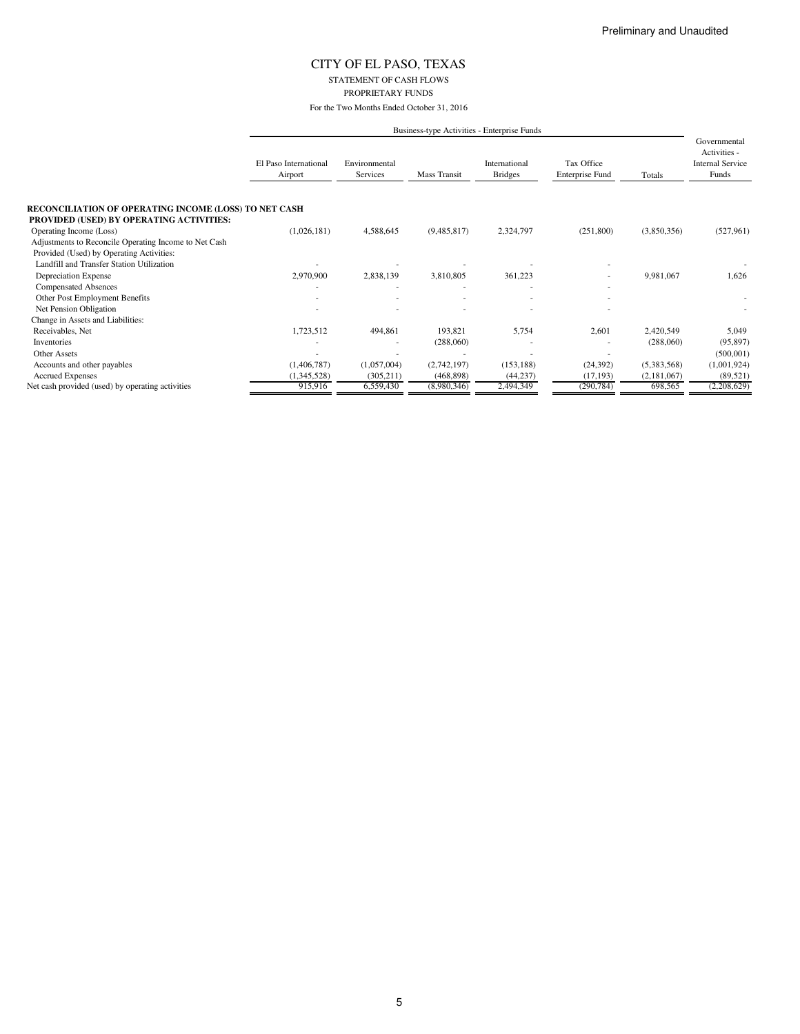STATEMENT OF CASH FLOWS PROPRIETARY FUNDS

For the Two Months Ended October 31, 2016

|                                                                                                          |                                  | Business-type Activities - Enterprise Funds |              |                                 |                                      |             |                                                                  |
|----------------------------------------------------------------------------------------------------------|----------------------------------|---------------------------------------------|--------------|---------------------------------|--------------------------------------|-------------|------------------------------------------------------------------|
|                                                                                                          | El Paso International<br>Airport | Environmental<br>Services                   | Mass Transit | International<br><b>Bridges</b> | Tax Office<br><b>Enterprise Fund</b> | Totals      | Governmental<br>Activities -<br><b>Internal Service</b><br>Funds |
| RECONCILIATION OF OPERATING INCOME (LOSS) TO NET CASH<br><b>PROVIDED (USED) BY OPERATING ACTIVITIES:</b> |                                  |                                             |              |                                 |                                      |             |                                                                  |
| Operating Income (Loss)                                                                                  | (1,026,181)                      | 4,588,645                                   | (9,485,817)  | 2,324,797                       | (251,800)                            | (3,850,356) | (527, 961)                                                       |
| Adjustments to Reconcile Operating Income to Net Cash                                                    |                                  |                                             |              |                                 |                                      |             |                                                                  |
| Provided (Used) by Operating Activities:                                                                 |                                  |                                             |              |                                 |                                      |             |                                                                  |
| Landfill and Transfer Station Utilization                                                                |                                  |                                             |              |                                 |                                      |             |                                                                  |
| Depreciation Expense                                                                                     | 2,970,900                        | 2,838,139                                   | 3,810,805    | 361,223                         | ۰                                    | 9,981,067   | 1,626                                                            |
| <b>Compensated Absences</b>                                                                              |                                  |                                             |              |                                 |                                      |             |                                                                  |
| Other Post Employment Benefits                                                                           |                                  |                                             |              |                                 |                                      |             |                                                                  |
| Net Pension Obligation                                                                                   |                                  |                                             |              |                                 |                                      |             |                                                                  |
| Change in Assets and Liabilities:                                                                        |                                  |                                             |              |                                 |                                      |             |                                                                  |
| Receivables, Net                                                                                         | 1,723,512                        | 494,861                                     | 193,821      | 5,754                           | 2,601                                | 2,420,549   | 5,049                                                            |
| Inventories                                                                                              |                                  |                                             | (288,060)    |                                 |                                      | (288,060)   | (95, 897)                                                        |
| <b>Other Assets</b>                                                                                      |                                  |                                             |              |                                 |                                      |             | (500, 001)                                                       |
| Accounts and other payables                                                                              | (1,406,787)                      | (1,057,004)                                 | (2,742,197)  | (153, 188)                      | (24, 392)                            | (5,383,568) | (1,001,924)                                                      |
| <b>Accrued Expenses</b>                                                                                  | (1,345,528)                      | (305, 211)                                  | (468, 898)   | (44, 237)                       | (17, 193)                            | (2,181,067) | (89, 521)                                                        |
| Net cash provided (used) by operating activities                                                         | 915,916                          | 6,559,430                                   | (8,980,346)  | 2,494,349                       | (290, 784)                           | 698,565     | (2,208,629)                                                      |

5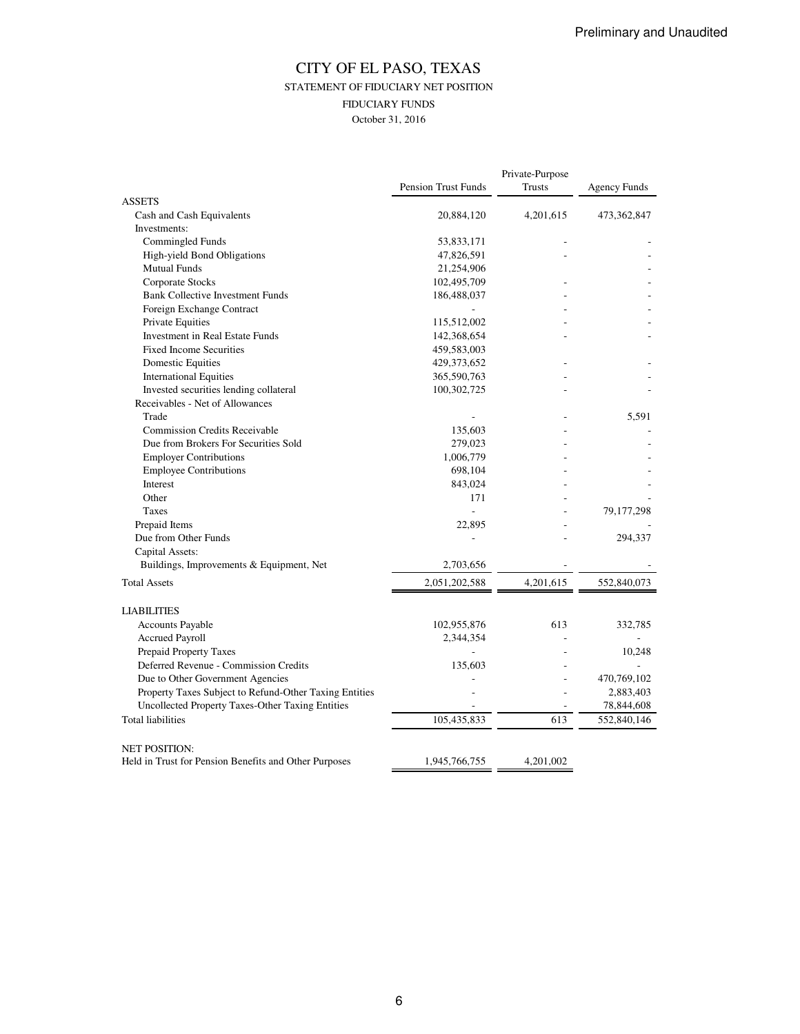### CITY OF EL PASO, TEXAS STATEMENT OF FIDUCIARY NET POSITION FIDUCIARY FUNDS October 31, 2016

|                                                                               | Private-Purpose            |           |                     |
|-------------------------------------------------------------------------------|----------------------------|-----------|---------------------|
|                                                                               | <b>Pension Trust Funds</b> | Trusts    | <b>Agency Funds</b> |
| <b>ASSETS</b>                                                                 |                            |           |                     |
| Cash and Cash Equivalents                                                     | 20,884,120                 | 4,201,615 | 473,362,847         |
| Investments:                                                                  |                            |           |                     |
| Commingled Funds                                                              | 53,833,171                 |           |                     |
| High-yield Bond Obligations                                                   | 47,826,591                 |           |                     |
| <b>Mutual Funds</b>                                                           | 21,254,906                 |           |                     |
| Corporate Stocks                                                              | 102,495,709                |           |                     |
| <b>Bank Collective Investment Funds</b>                                       | 186,488,037                |           |                     |
| Foreign Exchange Contract                                                     |                            |           |                     |
| Private Equities                                                              | 115,512,002                |           |                     |
| Investment in Real Estate Funds                                               | 142,368,654                |           |                     |
| <b>Fixed Income Securities</b>                                                | 459,583,003                |           |                     |
| <b>Domestic Equities</b>                                                      | 429,373,652                |           |                     |
| <b>International Equities</b>                                                 | 365,590,763                |           |                     |
| Invested securities lending collateral                                        | 100,302,725                |           |                     |
| Receivables - Net of Allowances                                               |                            |           |                     |
| Trade                                                                         |                            |           | 5.591               |
| <b>Commission Credits Receivable</b>                                          | 135,603                    |           |                     |
| Due from Brokers For Securities Sold                                          | 279,023                    |           |                     |
| <b>Employer Contributions</b>                                                 | 1,006,779                  |           |                     |
| <b>Employee Contributions</b>                                                 | 698,104                    |           |                     |
| Interest                                                                      | 843,024                    |           |                     |
| Other                                                                         | 171                        |           |                     |
| <b>Taxes</b>                                                                  | $\overline{a}$             |           | 79, 177, 298        |
| Prepaid Items                                                                 | 22,895                     |           |                     |
| Due from Other Funds                                                          |                            |           | 294,337             |
| Capital Assets:                                                               |                            |           |                     |
| Buildings, Improvements & Equipment, Net                                      | 2,703,656                  |           |                     |
| <b>Total Assets</b>                                                           | 2,051,202,588              | 4,201,615 | 552,840,073         |
|                                                                               |                            |           |                     |
| <b>LIABILITIES</b>                                                            |                            |           |                     |
| Accounts Payable                                                              | 102,955,876                | 613       | 332,785             |
| <b>Accrued Payroll</b>                                                        | 2,344,354                  |           |                     |
| Prepaid Property Taxes                                                        |                            |           | 10,248              |
| Deferred Revenue - Commission Credits                                         | 135,603                    |           |                     |
| Due to Other Government Agencies                                              |                            |           | 470,769,102         |
| Property Taxes Subject to Refund-Other Taxing Entities                        |                            |           | 2,883,403           |
| Uncollected Property Taxes-Other Taxing Entities                              |                            |           | 78,844,608          |
| <b>Total liabilities</b>                                                      |                            |           |                     |
|                                                                               | 105,435,833                | 613       | 552,840,146         |
|                                                                               |                            |           |                     |
| <b>NET POSITION:</b><br>Held in Trust for Pension Benefits and Other Purposes | 1,945,766,755              | 4,201,002 |                     |
|                                                                               |                            |           |                     |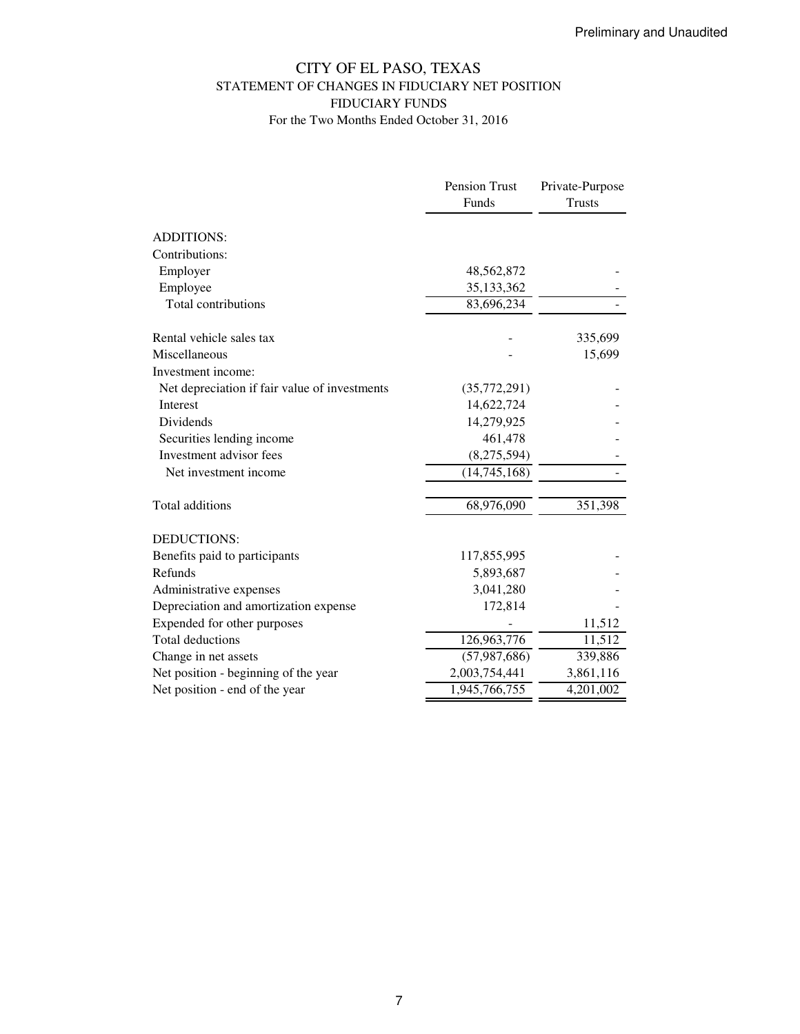### CITY OF EL PASO, TEXAS STATEMENT OF CHANGES IN FIDUCIARY NET POSITION FIDUCIARY FUNDS For the Two Months Ended October 31, 2016

|                                               | Pension Trust  | Private-Purpose |
|-----------------------------------------------|----------------|-----------------|
|                                               | Funds          | <b>Trusts</b>   |
| <b>ADDITIONS:</b>                             |                |                 |
| Contributions:                                |                |                 |
| Employer                                      | 48,562,872     |                 |
| Employee                                      | 35,133,362     |                 |
| Total contributions                           | 83,696,234     |                 |
| Rental vehicle sales tax                      |                | 335,699         |
| Miscellaneous                                 |                | 15,699          |
| Investment income:                            |                |                 |
| Net depreciation if fair value of investments | (35,772,291)   |                 |
| Interest                                      | 14,622,724     |                 |
| <b>Dividends</b>                              | 14,279,925     |                 |
| Securities lending income                     | 461,478        |                 |
| Investment advisor fees                       | (8,275,594)    |                 |
| Net investment income                         | (14,745,168)   |                 |
| Total additions                               | 68,976,090     | 351,398         |
| <b>DEDUCTIONS:</b>                            |                |                 |
| Benefits paid to participants                 | 117,855,995    |                 |
| Refunds                                       | 5,893,687      |                 |
| Administrative expenses                       | 3,041,280      |                 |
| Depreciation and amortization expense         | 172,814        |                 |
| Expended for other purposes                   |                | 11,512          |
| <b>Total deductions</b>                       | 126,963,776    | 11,512          |
| Change in net assets                          | (57, 987, 686) | 339,886         |
| Net position - beginning of the year          | 2,003,754,441  | 3,861,116       |
| Net position - end of the year                | 1,945,766,755  | 4,201,002       |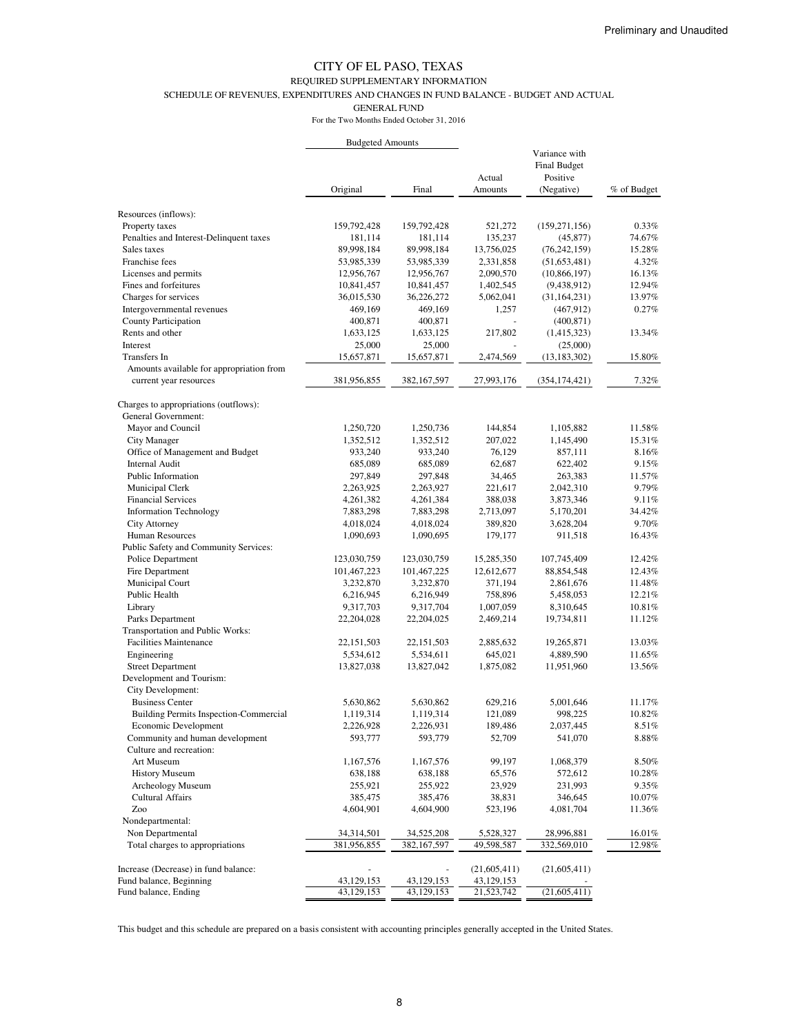#### REQUIRED SUPPLEMENTARY INFORMATION

SCHEDULE OF REVENUES, EXPENDITURES AND CHANGES IN FUND BALANCE - BUDGET AND ACTUAL

GENERAL FUND

For the Two Months Ended October 31, 2016

|                                                              | <b>Budgeted Amounts</b>  |                          |                        |                                                                |                  |
|--------------------------------------------------------------|--------------------------|--------------------------|------------------------|----------------------------------------------------------------|------------------|
|                                                              | Original                 | Final                    | Actual<br>Amounts      | Variance with<br><b>Final Budget</b><br>Positive<br>(Negative) | % of Budget      |
|                                                              |                          |                          |                        |                                                                |                  |
| Resources (inflows):                                         |                          |                          |                        |                                                                |                  |
| Property taxes                                               | 159,792,428              | 159,792,428              | 521,272                | (159, 271, 156)                                                | 0.33%            |
| Penalties and Interest-Delinquent taxes<br>Sales taxes       | 181,114                  | 181,114                  | 135,237                | (45, 877)                                                      | 74.67%<br>15.28% |
| Franchise fees                                               | 89,998,184               | 89,998,184               | 13,756,025             | (76, 242, 159)                                                 | 4.32%            |
| Licenses and permits                                         | 53,985,339<br>12,956,767 | 53,985,339<br>12,956,767 | 2,331,858<br>2,090,570 | (51, 653, 481)<br>(10, 866, 197)                               | 16.13%           |
| Fines and forfeitures                                        | 10,841,457               | 10,841,457               | 1,402,545              | (9,438,912)                                                    | 12.94%           |
| Charges for services                                         | 36,015,530               | 36,226,272               | 5,062,041              | (31, 164, 231)                                                 | 13.97%           |
| Intergovernmental revenues                                   | 469,169                  | 469,169                  | 1,257                  | (467, 912)                                                     | 0.27%            |
| County Participation                                         | 400,871                  | 400,871                  |                        | (400, 871)                                                     |                  |
| Rents and other                                              | 1,633,125                | 1,633,125                | 217,802                | (1,415,323)                                                    | 13.34%           |
| Interest                                                     | 25,000                   | 25,000                   |                        | (25,000)                                                       |                  |
| Transfers In                                                 | 15,657,871               | 15,657,871               | 2,474,569              | (13, 183, 302)                                                 | 15.80%           |
| Amounts available for appropriation from                     |                          |                          |                        |                                                                |                  |
| current year resources                                       | 381,956,855              | 382, 167, 597            | 27,993,176             | (354, 174, 421)                                                | 7.32%            |
| Charges to appropriations (outflows):<br>General Government: |                          |                          |                        |                                                                |                  |
| Mayor and Council                                            | 1,250,720                | 1,250,736                | 144,854                | 1,105,882                                                      | 11.58%           |
| City Manager                                                 | 1,352,512                | 1,352,512                | 207,022                | 1,145,490                                                      | 15.31%           |
| Office of Management and Budget                              | 933,240                  | 933,240                  | 76,129                 | 857,111                                                        | 8.16%            |
| <b>Internal Audit</b>                                        | 685,089                  | 685,089                  | 62,687                 | 622,402                                                        | 9.15%            |
| Public Information                                           | 297,849                  | 297,848                  | 34,465                 | 263,383                                                        | 11.57%           |
| Municipal Clerk                                              | 2,263,925                | 2,263,927                | 221,617                | 2,042,310                                                      | 9.79%            |
| <b>Financial Services</b>                                    | 4,261,382                | 4,261,384                | 388,038                | 3,873,346                                                      | 9.11%            |
| <b>Information Technology</b>                                | 7,883,298                | 7,883,298                | 2,713,097              | 5,170,201                                                      | 34.42%           |
| City Attorney                                                | 4,018,024                | 4,018,024                | 389,820                | 3,628,204                                                      | 9.70%            |
| Human Resources                                              | 1,090,693                | 1,090,695                | 179,177                | 911,518                                                        | 16.43%           |
| Public Safety and Community Services:                        |                          |                          |                        |                                                                |                  |
| Police Department                                            | 123,030,759              | 123,030,759              | 15,285,350             | 107,745,409                                                    | 12.42%           |
| Fire Department                                              | 101,467,223              | 101,467,225              | 12,612,677             | 88, 854, 548                                                   | 12.43%           |
| Municipal Court                                              | 3,232,870                | 3,232,870                | 371,194                | 2,861,676                                                      | 11.48%           |
| Public Health                                                | 6,216,945                | 6,216,949                | 758,896                | 5,458,053                                                      | 12.21%           |
| Library                                                      | 9,317,703                | 9,317,704                | 1,007,059              | 8,310,645                                                      | 10.81%           |
| Parks Department                                             | 22,204,028               | 22,204,025               | 2,469,214              | 19,734,811                                                     | 11.12%           |
| Transportation and Public Works:                             |                          |                          |                        |                                                                |                  |
| <b>Facilities Maintenance</b>                                | 22, 151, 503             | 22, 151, 503             | 2,885,632              | 19,265,871                                                     | 13.03%           |
| Engineering                                                  | 5,534,612                | 5,534,611                | 645,021                | 4,889,590                                                      | 11.65%           |
| <b>Street Department</b>                                     | 13,827,038               | 13,827,042               | 1,875,082              | 11,951,960                                                     | 13.56%           |
| Development and Tourism:                                     |                          |                          |                        |                                                                |                  |
| City Development:                                            |                          |                          |                        |                                                                |                  |
| <b>Business Center</b>                                       | 5,630,862                | 5,630,862                | 629,216                | 5,001,646                                                      | 11.17%           |
| <b>Building Permits Inspection-Commercial</b>                | 1,119,314                | 1,119,314                | 121,089                | 998,225                                                        | 10.82%           |
| Economic Development                                         | 2,226,928                | 2,226,931                | 189,486                | 2,037,445                                                      | 8.51%            |
| Community and human development<br>Culture and recreation:   | 593,777                  | 593,779                  | 52,709                 | 541,070                                                        | $8.88\%$         |
| Art Museum                                                   |                          |                          | 99,197                 | 1,068,379                                                      | 8.50%            |
| <b>History Museum</b>                                        | 1,167,576<br>638,188     | 1,167,576                |                        | 572,612                                                        | 10.28%           |
| Archeology Museum                                            | 255,921                  | 638,188<br>255,922       | 65,576<br>23,929       | 231,993                                                        | 9.35%            |
| <b>Cultural Affairs</b>                                      | 385,475                  | 385,476                  | 38,831                 | 346,645                                                        | 10.07%           |
| Zoo                                                          | 4,604,901                | 4,604,900                | 523,196                | 4,081,704                                                      | 11.36%           |
| Nondepartmental:                                             |                          |                          |                        |                                                                |                  |
| Non Departmental                                             | 34,314,501               | 34,525,208               | 5,528,327              | 28,996,881                                                     | 16.01%           |
| Total charges to appropriations                              | 381,956,855              | 382, 167, 597            | 49,598,587             | 332,569,010                                                    | 12.98%           |
|                                                              |                          |                          |                        |                                                                |                  |
| Increase (Decrease) in fund balance:                         |                          |                          | (21,605,411)           | (21,605,411)                                                   |                  |
| Fund balance, Beginning                                      | 43,129,153               | 43, 129, 153             | 43,129,153             |                                                                |                  |
| Fund balance, Ending                                         | 43,129,153               | 43,129,153               | 21,523,742             | (21, 605, 411)                                                 |                  |

This budget and this schedule are prepared on a basis consistent with accounting principles generally accepted in the United States.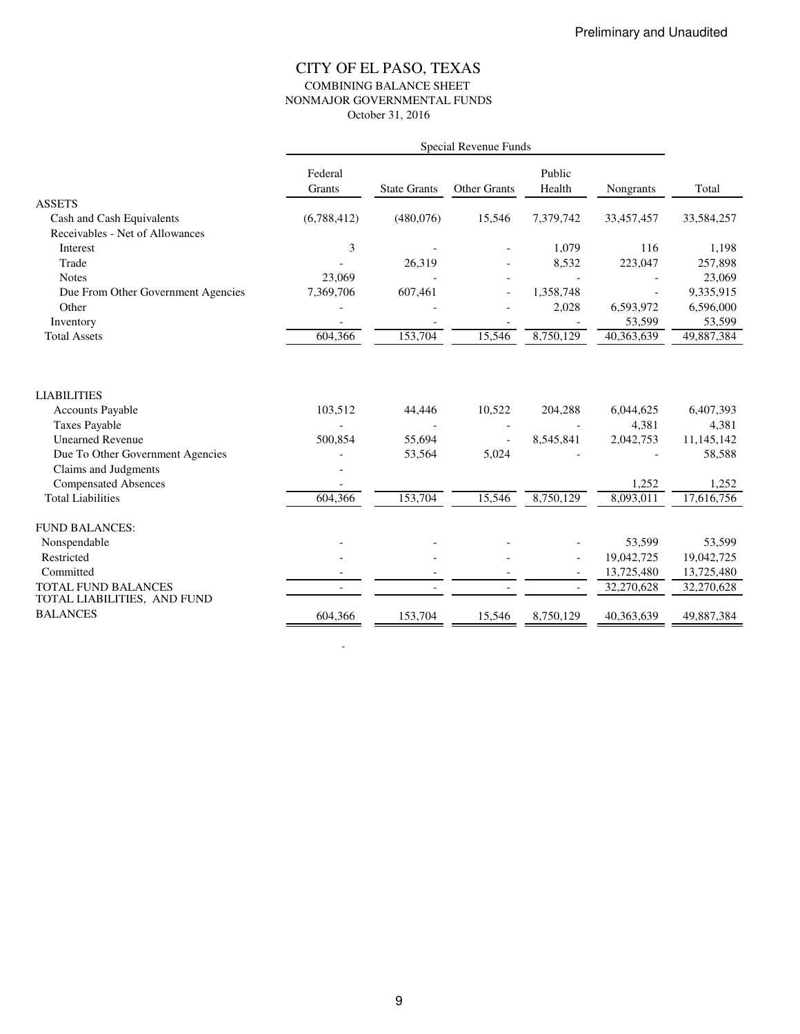### CITY OF EL PASO, TEXAS COMBINING BALANCE SHEET NONMAJOR GOVERNMENTAL FUNDS October 31, 2016

|                                    | Special Revenue Funds |                     |                     |           |            |            |
|------------------------------------|-----------------------|---------------------|---------------------|-----------|------------|------------|
|                                    | Federal               |                     |                     | Public    |            |            |
| <b>ASSETS</b>                      | Grants                | <b>State Grants</b> | <b>Other Grants</b> | Health    | Nongrants  | Total      |
| Cash and Cash Equivalents          | (6,788,412)           | (480,076)           | 15,546              | 7,379,742 | 33,457,457 | 33,584,257 |
| Receivables - Net of Allowances    |                       |                     |                     |           |            |            |
| Interest                           | 3                     |                     |                     | 1,079     | 116        | 1,198      |
| Trade                              |                       | 26,319              |                     | 8,532     | 223,047    | 257,898    |
| <b>Notes</b>                       | 23,069                |                     |                     |           |            | 23,069     |
| Due From Other Government Agencies | 7,369,706             | 607,461             |                     | 1,358,748 |            | 9,335,915  |
| Other                              |                       |                     |                     | 2,028     | 6,593,972  | 6,596,000  |
| Inventory                          |                       |                     |                     |           | 53,599     | 53,599     |
| <b>Total Assets</b>                | 604,366               | 153,704             | 15,546              | 8,750,129 | 40,363,639 | 49,887,384 |
| <b>LIABILITIES</b>                 |                       |                     |                     |           |            |            |
| <b>Accounts Payable</b>            | 103,512               | 44,446              | 10,522              | 204,288   | 6,044,625  | 6,407,393  |
| <b>Taxes Payable</b>               |                       |                     |                     |           | 4,381      | 4,381      |
| <b>Unearned Revenue</b>            | 500,854               | 55,694              |                     | 8,545,841 | 2,042,753  | 11,145,142 |
| Due To Other Government Agencies   |                       | 53,564              | 5,024               |           |            | 58,588     |
| Claims and Judgments               |                       |                     |                     |           |            |            |
| <b>Compensated Absences</b>        |                       |                     |                     |           | 1,252      | 1,252      |
| <b>Total Liabilities</b>           | 604,366               | 153,704             | 15,546              | 8,750,129 | 8,093,011  | 17.616.756 |
| <b>FUND BALANCES:</b>              |                       |                     |                     |           |            |            |
| Nonspendable                       |                       |                     |                     |           | 53,599     | 53,599     |
| Restricted                         |                       |                     |                     |           | 19,042,725 | 19,042,725 |
| Committed                          |                       |                     |                     |           | 13,725,480 | 13,725,480 |
| TOTAL FUND BALANCES                |                       |                     |                     |           | 32,270,628 | 32,270,628 |
| TOTAL LIABILITIES, AND FUND        |                       |                     |                     |           |            |            |
| <b>BALANCES</b>                    | 604,366               | 153,704             | 15,546              | 8,750,129 | 40,363,639 | 49,887,384 |

-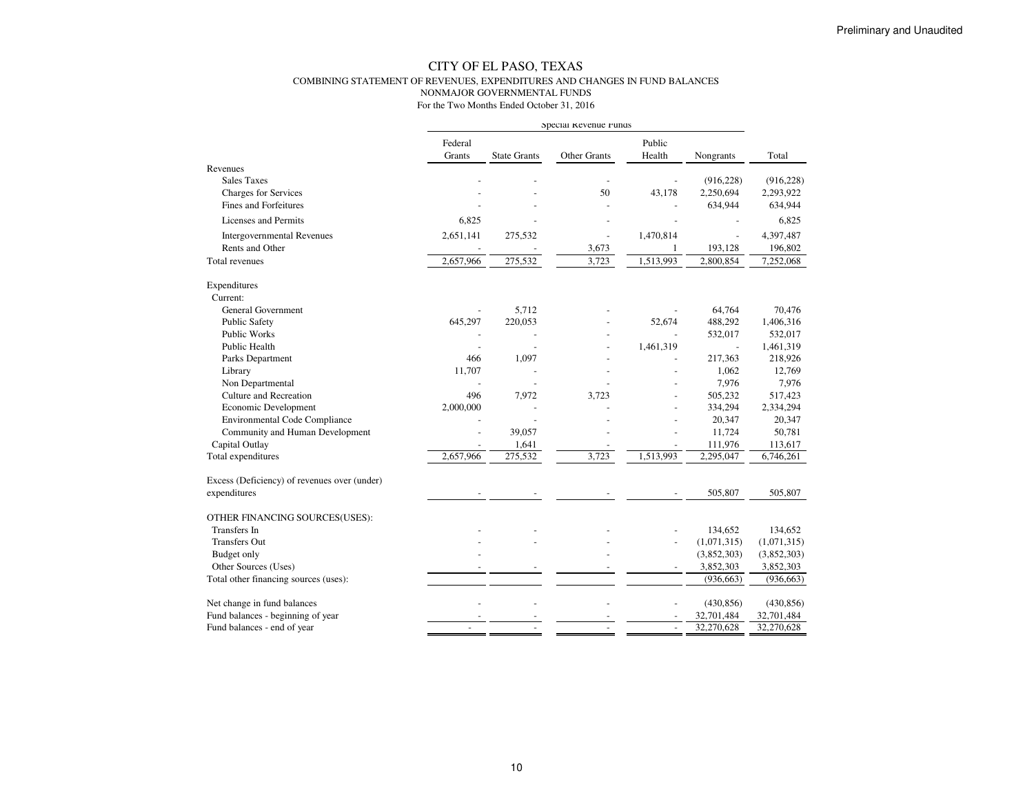#### CITY OF EL PASO, TEXAS COMBINING STATEMENT OF REVENUES, EXPENDITURES AND CHANGES IN FUND BALANCESNONMAJOR GOVERNMENTAL FUNDS

|                                              | Special Revenue Funds |                          |                |                  |             |             |
|----------------------------------------------|-----------------------|--------------------------|----------------|------------------|-------------|-------------|
|                                              | Federal<br>Grants     | <b>State Grants</b>      | Other Grants   | Public<br>Health | Nongrants   | Total       |
| Revenues                                     |                       |                          |                |                  |             |             |
| <b>Sales Taxes</b>                           |                       |                          |                |                  | (916, 228)  | (916, 228)  |
| <b>Charges for Services</b>                  |                       |                          | 50             | 43,178           | 2,250,694   | 2,293,922   |
| Fines and Forfeitures                        |                       |                          |                |                  | 634,944     | 634,944     |
| Licenses and Permits                         | 6,825                 |                          |                |                  |             | 6,825       |
| <b>Intergovernmental Revenues</b>            | 2,651,141             | 275,532                  | $\overline{a}$ | 1,470,814        | ÷,          | 4,397,487   |
| Rents and Other                              |                       | $\overline{\phantom{a}}$ | 3,673          | 1                | 193,128     | 196,802     |
| Total revenues                               | 2,657,966             | 275,532                  | 3,723          | 1,513,993        | 2,800,854   | 7,252,068   |
| Expenditures                                 |                       |                          |                |                  |             |             |
| Current:                                     |                       |                          |                |                  |             |             |
| <b>General Government</b>                    |                       | 5,712                    |                |                  | 64,764      | 70,476      |
| <b>Public Safety</b>                         | 645,297               | 220,053                  |                | 52,674           | 488,292     | 1,406,316   |
| Public Works                                 |                       |                          |                |                  | 532,017     | 532,017     |
| Public Health                                |                       |                          |                | 1,461,319        | $\Box$      | 1,461,319   |
| Parks Department                             | 466                   | 1,097                    |                |                  | 217,363     | 218,926     |
| Library                                      | 11,707                |                          |                |                  | 1,062       | 12,769      |
| Non Departmental                             |                       |                          |                |                  | 7,976       | 7,976       |
| <b>Culture and Recreation</b>                | 496                   | 7,972                    | 3,723          |                  | 505,232     | 517,423     |
| Economic Development                         | 2,000,000             |                          |                |                  | 334,294     | 2,334,294   |
| <b>Environmental Code Compliance</b>         |                       | $\sim$                   |                |                  | 20,347      | 20,347      |
| Community and Human Development              |                       | 39,057                   |                |                  | 11,724      | 50,781      |
| Capital Outlay                               |                       | 1,641                    |                |                  | 111,976     | 113,617     |
| Total expenditures                           | 2,657,966             | 275,532                  | 3,723          | 1,513,993        | 2,295,047   | 6,746,261   |
| Excess (Deficiency) of revenues over (under) |                       |                          |                |                  |             |             |
| expenditures                                 |                       |                          |                |                  | 505,807     | 505,807     |
| OTHER FINANCING SOURCES(USES):               |                       |                          |                |                  |             |             |
| Transfers In                                 |                       |                          |                |                  | 134,652     | 134,652     |
| <b>Transfers Out</b>                         |                       |                          |                | $\overline{a}$   | (1,071,315) | (1,071,315) |
| Budget only                                  |                       |                          |                |                  | (3,852,303) | (3,852,303) |
| Other Sources (Uses)                         |                       |                          |                |                  | 3,852,303   | 3,852,303   |
| Total other financing sources (uses):        |                       |                          |                |                  | (936, 663)  | (936, 663)  |
| Net change in fund balances                  |                       |                          |                |                  | (430, 856)  | (430, 856)  |
| Fund balances - beginning of year            |                       |                          |                |                  | 32,701,484  | 32,701,484  |
| Fund balances - end of year                  |                       |                          |                | $\overline{a}$   | 32,270,628  | 32,270,628  |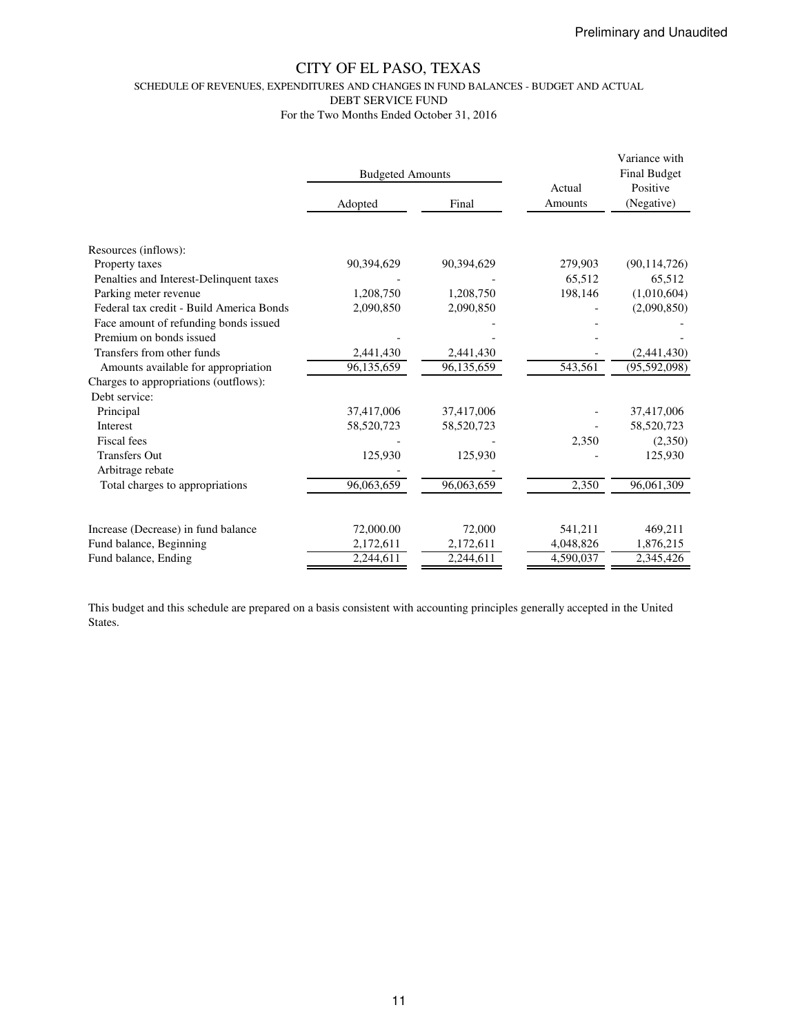SCHEDULE OF REVENUES, EXPENDITURES AND CHANGES IN FUND BALANCES - BUDGET AND ACTUAL

DEBT SERVICE FUND

For the Two Months Ended October 31, 2016

|                                          | <b>Budgeted Amounts</b> |            | Actual    | Variance with<br><b>Final Budget</b><br>Positive |
|------------------------------------------|-------------------------|------------|-----------|--------------------------------------------------|
|                                          | Adopted                 | Final      | Amounts   | (Negative)                                       |
|                                          |                         |            |           |                                                  |
| Resources (inflows):                     |                         |            |           |                                                  |
| Property taxes                           | 90,394,629              | 90,394,629 | 279,903   | (90, 114, 726)                                   |
| Penalties and Interest-Delinquent taxes  |                         |            | 65,512    | 65,512                                           |
| Parking meter revenue                    | 1,208,750               | 1,208,750  | 198,146   | (1,010,604)                                      |
| Federal tax credit - Build America Bonds | 2,090,850               | 2,090,850  |           | (2,090,850)                                      |
| Face amount of refunding bonds issued    |                         |            |           |                                                  |
| Premium on bonds issued                  |                         |            |           |                                                  |
| Transfers from other funds               | 2,441,430               | 2,441,430  |           | (2,441,430)                                      |
| Amounts available for appropriation      | 96,135,659              | 96,135,659 | 543,561   | (95, 592, 098)                                   |
| Charges to appropriations (outflows):    |                         |            |           |                                                  |
| Debt service:                            |                         |            |           |                                                  |
| Principal                                | 37,417,006              | 37,417,006 |           | 37,417,006                                       |
| <b>Interest</b>                          | 58,520,723              | 58,520,723 |           | 58,520,723                                       |
| Fiscal fees                              |                         |            | 2,350     | (2,350)                                          |
| <b>Transfers Out</b>                     | 125,930                 | 125,930    |           | 125,930                                          |
| Arbitrage rebate                         |                         |            |           |                                                  |
| Total charges to appropriations          | 96,063,659              | 96,063,659 | 2,350     | 96,061,309                                       |
|                                          |                         |            |           |                                                  |
| Increase (Decrease) in fund balance      | 72,000.00               | 72,000     | 541,211   | 469,211                                          |
| Fund balance, Beginning                  | 2,172,611               | 2,172,611  | 4,048,826 | 1,876,215                                        |
| Fund balance, Ending                     | 2,244,611               | 2,244,611  | 4,590,037 | 2,345,426                                        |

This budget and this schedule are prepared on a basis consistent with accounting principles generally accepted in the United States.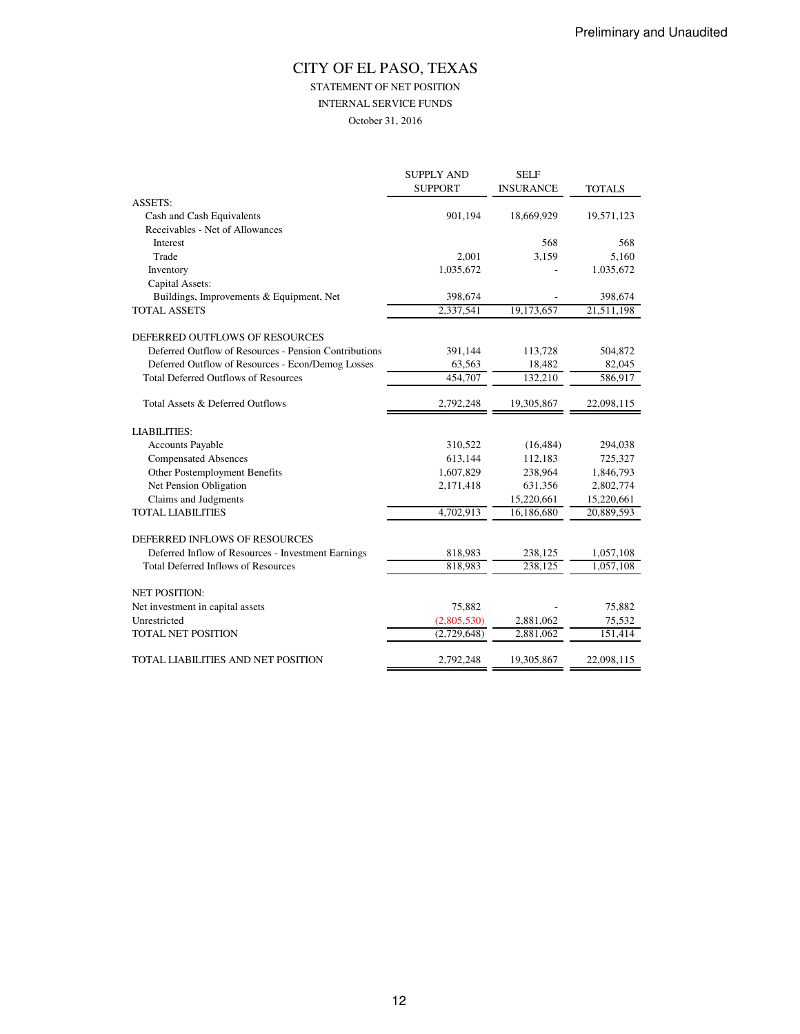STATEMENT OF NET POSITION

INTERNAL SERVICE FUNDS

October 31, 2016

|                                                       | <b>SUPPLY AND</b> | <b>SELF</b>      |               |
|-------------------------------------------------------|-------------------|------------------|---------------|
|                                                       | <b>SUPPORT</b>    | <b>INSURANCE</b> | <b>TOTALS</b> |
| <b>ASSETS:</b>                                        |                   |                  |               |
| Cash and Cash Equivalents                             | 901,194           | 18,669,929       | 19,571,123    |
| Receivables - Net of Allowances                       |                   |                  |               |
| Interest                                              |                   | 568              | 568           |
| Trade                                                 | 2,001             | 3,159            | 5,160         |
| Inventory                                             | 1,035,672         |                  | 1,035,672     |
| Capital Assets:                                       |                   |                  |               |
| Buildings, Improvements & Equipment, Net              | 398,674           |                  | 398,674       |
| <b>TOTAL ASSETS</b>                                   | 2,337,541         | 19,173,657       | 21,511,198    |
| DEFERRED OUTFLOWS OF RESOURCES                        |                   |                  |               |
| Deferred Outflow of Resources - Pension Contributions | 391,144           | 113,728          | 504,872       |
| Deferred Outflow of Resources - Econ/Demog Losses     | 63,563            | 18,482           | 82,045        |
| <b>Total Deferred Outflows of Resources</b>           | 454,707           | 132,210          | 586,917       |
| Total Assets & Deferred Outflows                      | 2,792,248         | 19,305,867       | 22,098,115    |
| <b>LIABILITIES:</b>                                   |                   |                  |               |
| <b>Accounts Payable</b>                               | 310,522           | (16, 484)        | 294,038       |
| <b>Compensated Absences</b>                           | 613,144           | 112,183          | 725,327       |
| Other Postemployment Benefits                         | 1,607,829         | 238,964          | 1,846,793     |
| Net Pension Obligation                                | 2,171,418         | 631,356          | 2,802,774     |
| Claims and Judgments                                  |                   | 15,220,661       | 15,220,661    |
| <b>TOTAL LIABILITIES</b>                              | 4,702,913         | 16,186,680       | 20,889,593    |
| DEFERRED INFLOWS OF RESOURCES                         |                   |                  |               |
| Deferred Inflow of Resources - Investment Earnings    | 818,983           | 238,125          | 1,057,108     |
| <b>Total Deferred Inflows of Resources</b>            | 818,983           | 238,125          | 1,057,108     |
| <b>NET POSITION:</b>                                  |                   |                  |               |
| Net investment in capital assets                      | 75,882            |                  | 75,882        |
| Unrestricted                                          | (2,805,530)       | 2,881,062        | 75,532        |
| <b>TOTAL NET POSITION</b>                             | (2,729,648)       | 2,881,062        | 151,414       |
| TOTAL LIABILITIES AND NET POSITION                    | 2,792,248         | 19,305,867       | 22,098,115    |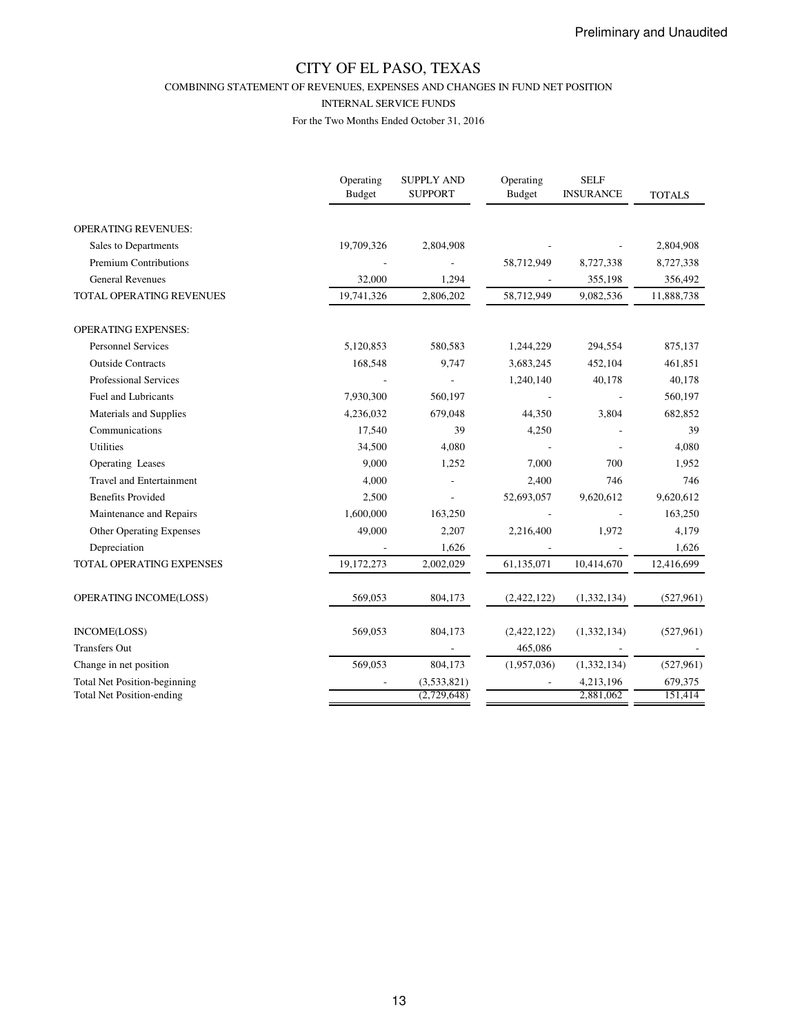COMBINING STATEMENT OF REVENUES, EXPENSES AND CHANGES IN FUND NET POSITION

#### INTERNAL SERVICE FUNDS

|                                     | Operating<br>Budget | <b>SUPPLY AND</b><br><b>SUPPORT</b> | Operating<br><b>Budget</b> | <b>SELF</b><br><b>INSURANCE</b> | <b>TOTALS</b> |
|-------------------------------------|---------------------|-------------------------------------|----------------------------|---------------------------------|---------------|
| <b>OPERATING REVENUES:</b>          |                     |                                     |                            |                                 |               |
| Sales to Departments                | 19,709,326          | 2,804,908                           |                            |                                 | 2,804,908     |
| <b>Premium Contributions</b>        |                     |                                     | 58,712,949                 | 8,727,338                       | 8,727,338     |
| <b>General Revenues</b>             | 32,000              | 1,294                               |                            | 355,198                         | 356,492       |
| <b>TOTAL OPERATING REVENUES</b>     | 19,741,326          | 2,806,202                           | 58,712,949                 | 9,082,536                       | 11,888,738    |
| <b>OPERATING EXPENSES:</b>          |                     |                                     |                            |                                 |               |
| <b>Personnel Services</b>           | 5,120,853           | 580,583                             | 1,244,229                  | 294,554                         | 875,137       |
| <b>Outside Contracts</b>            | 168,548             | 9,747                               | 3,683,245                  | 452,104                         | 461,851       |
| <b>Professional Services</b>        |                     |                                     | 1,240,140                  | 40,178                          | 40,178        |
| Fuel and Lubricants                 | 7,930,300           | 560,197                             |                            |                                 | 560,197       |
| Materials and Supplies              | 4,236,032           | 679,048                             | 44,350                     | 3,804                           | 682,852       |
| Communications                      | 17,540              | 39                                  | 4,250                      |                                 | 39            |
| <b>Utilities</b>                    | 34,500              | 4,080                               |                            |                                 | 4,080         |
| Operating Leases                    | 9,000               | 1,252                               | 7,000                      | 700                             | 1,952         |
| <b>Travel and Entertainment</b>     | 4,000               |                                     | 2,400                      | 746                             | 746           |
| <b>Benefits Provided</b>            | 2,500               |                                     | 52,693,057                 | 9,620,612                       | 9,620,612     |
| Maintenance and Repairs             | 1,600,000           | 163,250                             |                            |                                 | 163,250       |
| Other Operating Expenses            | 49,000              | 2,207                               | 2,216,400                  | 1,972                           | 4,179         |
| Depreciation                        |                     | 1,626                               |                            |                                 | 1,626         |
| TOTAL OPERATING EXPENSES            | 19,172,273          | 2,002,029                           | 61,135,071                 | 10,414,670                      | 12,416,699    |
| OPERATING INCOME(LOSS)              | 569,053             | 804,173                             | (2,422,122)                | (1, 332, 134)                   | (527, 961)    |
| INCOME(LOSS)                        | 569,053             | 804,173                             | (2,422,122)                | (1,332,134)                     | (527, 961)    |
| <b>Transfers Out</b>                |                     |                                     | 465,086                    |                                 |               |
| Change in net position              | 569,053             | 804,173                             | (1,957,036)                | (1, 332, 134)                   | (527, 961)    |
| <b>Total Net Position-beginning</b> |                     | (3,533,821)                         |                            | 4,213,196                       | 679,375       |
| <b>Total Net Position-ending</b>    |                     | (2,729,648)                         |                            | 2,881,062                       | 151,414       |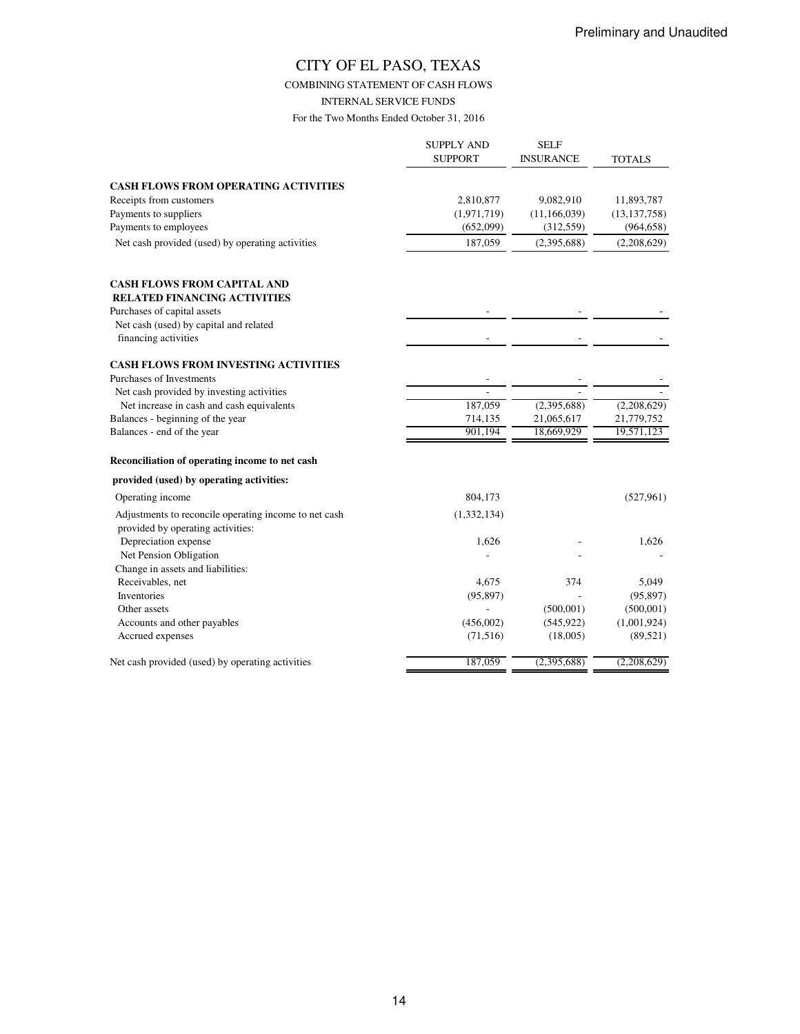COMBINING STATEMENT OF CASH FLOWS

INTERNAL SERVICE FUNDS

|                                                                                            | <b>SUPPLY AND</b><br><b>SUPPORT</b> | <b>SELF</b><br>INSURANCE | <b>TOTALS</b>            |
|--------------------------------------------------------------------------------------------|-------------------------------------|--------------------------|--------------------------|
| <b>CASH FLOWS FROM OPERATING ACTIVITIES</b>                                                |                                     |                          |                          |
| Receipts from customers                                                                    | 2,810,877                           | 9,082,910                | 11,893,787               |
| Payments to suppliers                                                                      | (1,971,719)                         | (11, 166, 039)           | (13, 137, 758)           |
| Payments to employees                                                                      | (652,099)                           | (312, 559)               | (964, 658)               |
| Net cash provided (used) by operating activities                                           | 187,059                             | (2,395,688)              | (2,208,629)              |
| <b>CASH FLOWS FROM CAPITAL AND</b><br><b>RELATED FINANCING ACTIVITIES</b>                  |                                     |                          |                          |
| Purchases of capital assets                                                                |                                     |                          |                          |
| Net cash (used) by capital and related                                                     |                                     |                          |                          |
| financing activities                                                                       |                                     |                          |                          |
| <b>CASH FLOWS FROM INVESTING ACTIVITIES</b>                                                |                                     |                          |                          |
| Purchases of Investments                                                                   |                                     |                          |                          |
| Net cash provided by investing activities                                                  |                                     |                          |                          |
| Net increase in cash and cash equivalents                                                  | 187,059                             | (2,395,688)              | (2,208,629)              |
| Balances - beginning of the year<br>Balances - end of the year                             | 714,135<br>901.194                  | 21,065,617<br>18,669,929 | 21,779,752<br>19,571,123 |
|                                                                                            |                                     |                          |                          |
| Reconciliation of operating income to net cash                                             |                                     |                          |                          |
| provided (used) by operating activities:                                                   |                                     |                          |                          |
| Operating income                                                                           | 804,173                             |                          | (527, 961)               |
| Adjustments to reconcile operating income to net cash<br>provided by operating activities: | (1,332,134)                         |                          |                          |
| Depreciation expense                                                                       | 1,626                               |                          | 1,626                    |
| Net Pension Obligation                                                                     |                                     |                          |                          |
| Change in assets and liabilities:                                                          |                                     |                          |                          |
| Receivables, net                                                                           | 4,675                               | 374                      | 5,049                    |
| Inventories                                                                                | (95, 897)                           |                          | (95, 897)                |
| Other assets                                                                               |                                     | (500, 001)               | (500, 001)               |
| Accounts and other payables                                                                | (456,002)                           | (545, 922)               | (1,001,924)              |
| Accrued expenses                                                                           | (71, 516)                           | (18,005)                 | (89, 521)                |
| Net cash provided (used) by operating activities                                           | 187,059                             | (2,395,688)              | (2,208,629)              |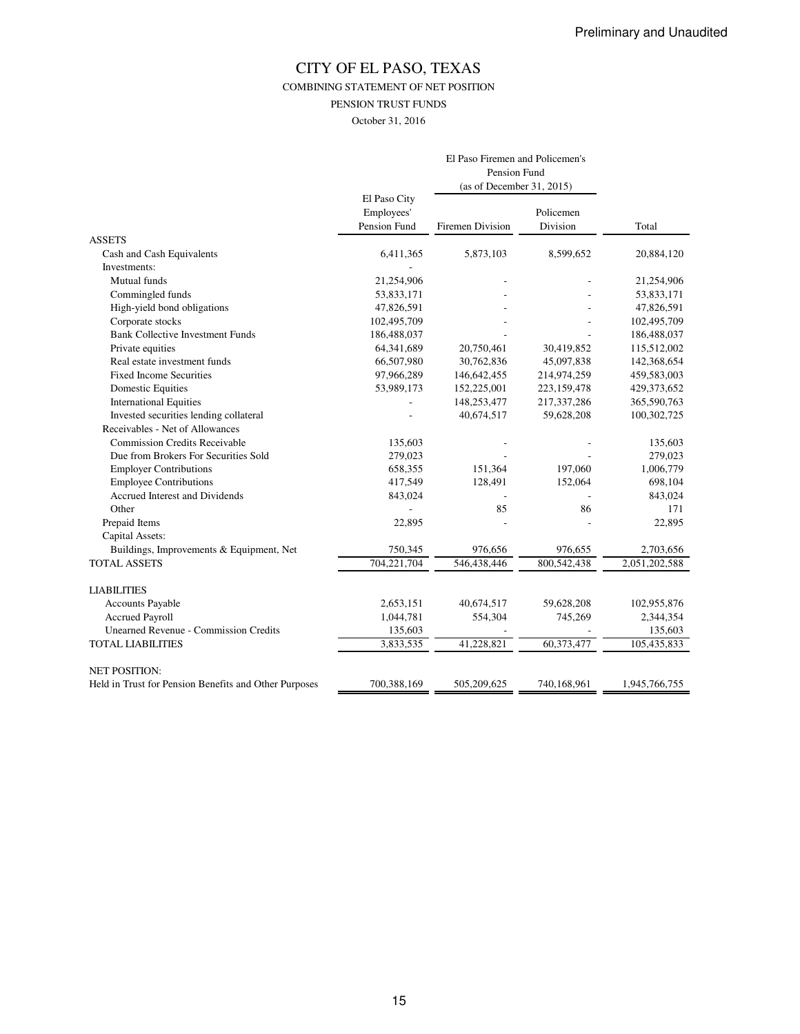COMBINING STATEMENT OF NET POSITION

PENSION TRUST FUNDS

October 31, 2016

|                                                       |                                            | El Paso Firemen and Policemen's<br>Pension Fund<br>(as of December 31, 2015) |                       |               |
|-------------------------------------------------------|--------------------------------------------|------------------------------------------------------------------------------|-----------------------|---------------|
|                                                       | El Paso City<br>Employees'<br>Pension Fund | Firemen Division                                                             | Policemen<br>Division | Total         |
| <b>ASSETS</b>                                         |                                            |                                                                              |                       |               |
| Cash and Cash Equivalents                             | 6,411,365                                  | 5,873,103                                                                    | 8,599,652             | 20,884,120    |
| Investments:                                          |                                            |                                                                              |                       |               |
| Mutual funds                                          | 21,254,906                                 |                                                                              |                       | 21,254,906    |
| Commingled funds                                      | 53,833,171                                 |                                                                              |                       | 53,833,171    |
| High-yield bond obligations                           | 47,826,591                                 |                                                                              |                       | 47,826,591    |
| Corporate stocks                                      | 102,495,709                                |                                                                              |                       | 102,495,709   |
| <b>Bank Collective Investment Funds</b>               | 186,488,037                                |                                                                              |                       | 186,488,037   |
| Private equities                                      | 64,341,689                                 | 20,750,461                                                                   | 30,419,852            | 115,512,002   |
| Real estate investment funds                          | 66,507,980                                 | 30,762,836                                                                   | 45,097,838            | 142,368,654   |
| <b>Fixed Income Securities</b>                        | 97,966,289                                 | 146, 642, 455                                                                | 214,974,259           | 459,583,003   |
| <b>Domestic Equities</b>                              | 53,989,173                                 | 152,225,001                                                                  | 223,159,478           | 429,373,652   |
| <b>International Equities</b>                         |                                            | 148,253,477                                                                  | 217,337,286           | 365,590,763   |
| Invested securities lending collateral                |                                            | 40,674,517                                                                   | 59,628,208            | 100,302,725   |
| Receivables - Net of Allowances                       |                                            |                                                                              |                       |               |
| <b>Commission Credits Receivable</b>                  | 135,603                                    |                                                                              |                       | 135,603       |
| Due from Brokers For Securities Sold                  | 279,023                                    |                                                                              |                       | 279,023       |
| <b>Employer Contributions</b>                         | 658,355                                    | 151,364                                                                      | 197,060               | 1,006,779     |
| <b>Employee Contributions</b>                         | 417,549                                    | 128,491                                                                      | 152,064               | 698,104       |
| Accrued Interest and Dividends                        | 843,024                                    |                                                                              |                       | 843,024       |
| Other                                                 |                                            | 85                                                                           | 86                    | 171           |
| Prepaid Items                                         | 22,895                                     |                                                                              |                       | 22,895        |
| Capital Assets:                                       |                                            |                                                                              |                       |               |
| Buildings, Improvements & Equipment, Net              | 750,345                                    | 976,656                                                                      | 976,655               | 2,703,656     |
| <b>TOTAL ASSETS</b>                                   | 704,221,704                                | 546,438,446                                                                  | 800,542,438           | 2,051,202,588 |
| <b>LIABILITIES</b>                                    |                                            |                                                                              |                       |               |
| <b>Accounts Payable</b>                               | 2,653,151                                  | 40,674,517                                                                   | 59,628,208            | 102,955,876   |
| <b>Accrued Payroll</b>                                | 1,044,781                                  | 554,304                                                                      | 745,269               | 2,344,354     |
| <b>Unearned Revenue - Commission Credits</b>          | 135,603                                    |                                                                              |                       | 135,603       |
| <b>TOTAL LIABILITIES</b>                              | 3,833,535                                  | 41,228,821                                                                   | 60,373,477            | 105,435,833   |
| <b>NET POSITION:</b>                                  |                                            |                                                                              |                       |               |
| Held in Trust for Pension Benefits and Other Purposes | 700,388,169                                | 505,209,625                                                                  | 740,168,961           | 1,945,766,755 |